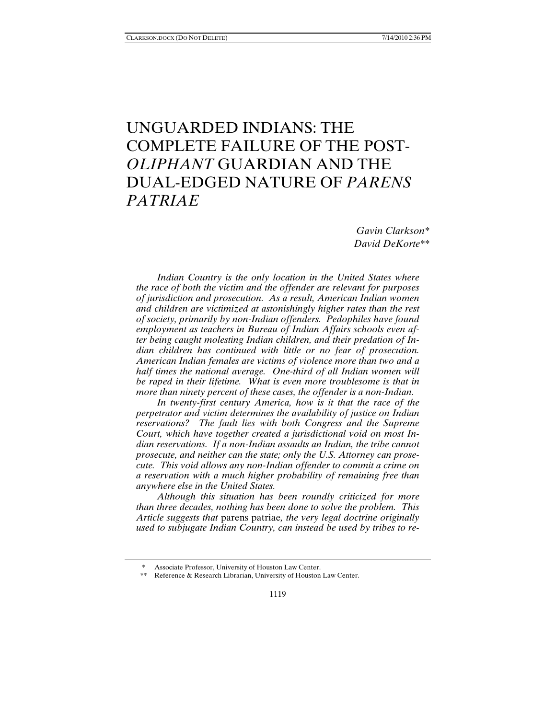# UNGUARDED INDIANS: THE COMPLETE FAILURE OF THE POST-*OLIPHANT* GUARDIAN AND THE DUAL-EDGED NATURE OF *PARENS PATRIAE*

*Gavin Clarkson\* David DeKorte\*\** 

*Indian Country is the only location in the United States where the race of both the victim and the offender are relevant for purposes of jurisdiction and prosecution. As a result, American Indian women and children are victimized at astonishingly higher rates than the rest of society, primarily by non-Indian offenders. Pedophiles have found employment as teachers in Bureau of Indian Affairs schools even after being caught molesting Indian children, and their predation of Indian children has continued with little or no fear of prosecution. American Indian females are victims of violence more than two and a half times the national average. One-third of all Indian women will be raped in their lifetime. What is even more troublesome is that in more than ninety percent of these cases, the offender is a non-Indian.* 

*In twenty-first century America, how is it that the race of the perpetrator and victim determines the availability of justice on Indian reservations? The fault lies with both Congress and the Supreme Court, which have together created a jurisdictional void on most Indian reservations. If a non-Indian assaults an Indian, the tribe cannot prosecute, and neither can the state; only the U.S. Attorney can prosecute. This void allows any non-Indian offender to commit a crime on a reservation with a much higher probability of remaining free than anywhere else in the United States.* 

*Although this situation has been roundly criticized for more than three decades, nothing has been done to solve the problem. This Article suggests that* parens patriae*, the very legal doctrine originally used to subjugate Indian Country, can instead be used by tribes to re-*

<sup>\*</sup> Associate Professor, University of Houston Law Center.

 <sup>\*\*</sup> Reference & Research Librarian, University of Houston Law Center.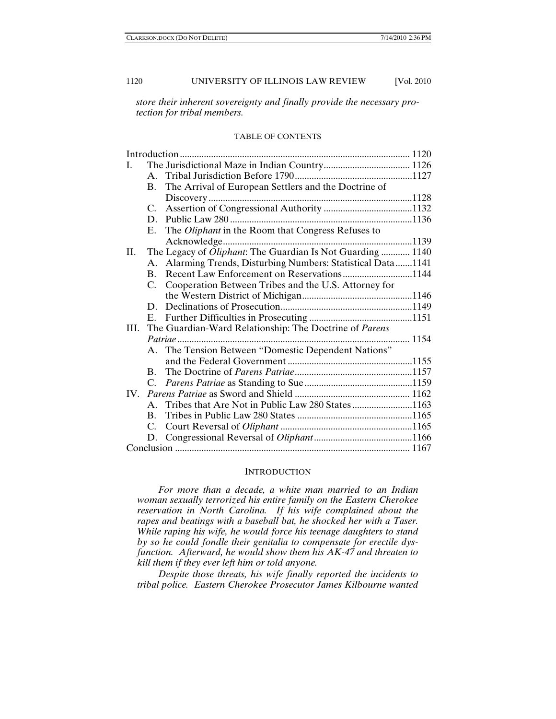*store their inherent sovereignty and finally provide the necessary protection for tribal members.* 

#### TABLE OF CONTENTS

| Introduction |                |                                                              |      |
|--------------|----------------|--------------------------------------------------------------|------|
| I.           |                |                                                              |      |
|              | $A_{-}$        |                                                              |      |
|              | <b>B.</b>      | The Arrival of European Settlers and the Doctrine of         |      |
|              |                |                                                              |      |
|              | C.             |                                                              |      |
|              | D.             |                                                              |      |
|              | Е.             | The Oliphant in the Room that Congress Refuses to            |      |
|              |                |                                                              |      |
| H.           |                | The Legacy of Oliphant: The Guardian Is Not Guarding  1140   |      |
|              |                | A. Alarming Trends, Disturbing Numbers: Statistical Data1141 |      |
|              | $\mathbf{B}$ . | Recent Law Enforcement on Reservations1144                   |      |
|              | C.             | Cooperation Between Tribes and the U.S. Attorney for         |      |
|              |                |                                                              |      |
|              | D.             |                                                              |      |
|              | Е.             |                                                              |      |
| III.         |                | The Guardian-Ward Relationship: The Doctrine of Parens       |      |
|              |                | Patriae                                                      | 1154 |
|              | A.             | The Tension Between "Domestic Dependent Nations"             |      |
|              |                |                                                              |      |
|              | $\mathbf{B}$ . |                                                              |      |
|              | C.             |                                                              |      |
|              |                |                                                              |      |
|              | $A_{-}$        |                                                              |      |
|              | $\mathbf{B}$ . |                                                              |      |
|              | C.             |                                                              |      |
|              |                |                                                              |      |
|              |                |                                                              |      |

#### **INTRODUCTION**

*For more than a decade, a white man married to an Indian woman sexually terrorized his entire family on the Eastern Cherokee reservation in North Carolina. If his wife complained about the rapes and beatings with a baseball bat, he shocked her with a Taser. While raping his wife, he would force his teenage daughters to stand by so he could fondle their genitalia to compensate for erectile dysfunction. Afterward, he would show them his AK-47 and threaten to kill them if they ever left him or told anyone.* 

*Despite those threats, his wife finally reported the incidents to tribal police. Eastern Cherokee Prosecutor James Kilbourne wanted*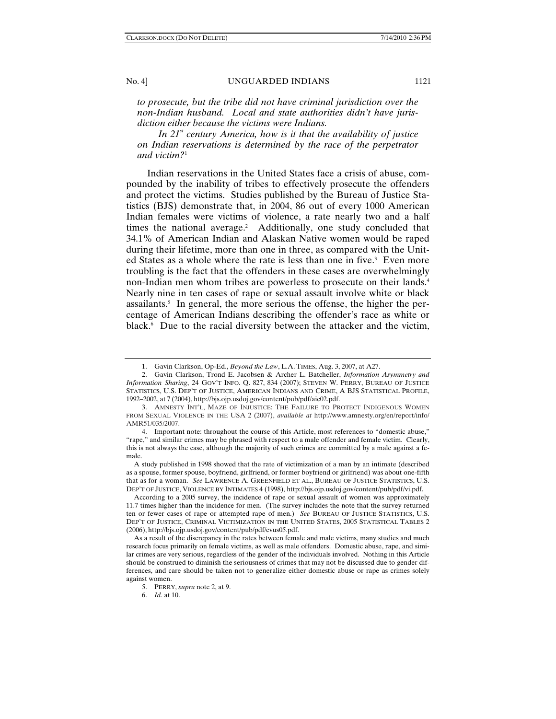*to prosecute, but the tribe did not have criminal jurisdiction over the non-Indian husband. Local and state authorities didn't have jurisdiction either because the victims were Indians.* 

*In 21st century America, how is it that the availability of justice on Indian reservations is determined by the race of the perpetrator and victim?*<sup>1</sup>

Indian reservations in the United States face a crisis of abuse, compounded by the inability of tribes to effectively prosecute the offenders and protect the victims. Studies published by the Bureau of Justice Statistics (BJS) demonstrate that, in 2004, 86 out of every 1000 American Indian females were victims of violence, a rate nearly two and a half times the national average.<sup>2</sup> Additionally, one study concluded that 34.1% of American Indian and Alaskan Native women would be raped during their lifetime, more than one in three, as compared with the United States as a whole where the rate is less than one in five.<sup>3</sup> Even more troubling is the fact that the offenders in these cases are overwhelmingly non-Indian men whom tribes are powerless to prosecute on their lands.4 Nearly nine in ten cases of rape or sexual assault involve white or black assailants.5 In general, the more serious the offense, the higher the percentage of American Indians describing the offender's race as white or black.<sup>6</sup> Due to the racial diversity between the attacker and the victim,

 <sup>1.</sup> Gavin Clarkson, Op-Ed., *Beyond the Law*, L.A. TIMES, Aug. 3, 2007, at A27.

 <sup>2.</sup> Gavin Clarkson, Trond E. Jacobsen & Archer L. Batcheller, *Information Asymmetry and Information Sharing*, 24 GOV'T INFO. Q. 827, 834 (2007); STEVEN W. PERRY, BUREAU OF JUSTICE STATISTICS, U.S. DEP'T OF JUSTICE, AMERICAN INDIANS AND CRIME, A BJS STATISTICAL PROFILE, 1992–2002, at 7 (2004), http://bjs.ojp.usdoj.gov/content/pub/pdf/aic02.pdf.

<sup>3.</sup> AMNESTY INT'L, MAZE OF INJUSTICE: THE FAILURE TO PROTECT INDIGENOUS WOMEN FROM SEXUAL VIOLENCE IN THE USA 2 (2007), *available at* http://www.amnesty.org/en/report/info/ AMR51/035/2007.

 <sup>4.</sup> Important note: throughout the course of this Article, most references to "domestic abuse," "rape," and similar crimes may be phrased with respect to a male offender and female victim. Clearly, this is not always the case, although the majority of such crimes are committed by a male against a female.

A study published in 1998 showed that the rate of victimization of a man by an intimate (described as a spouse, former spouse, boyfriend, girlfriend, or former boyfriend or girlfriend) was about one-fifth that as for a woman. *See* LAWRENCE A. GREENFIELD ET AL., BUREAU OF JUSTICE STATISTICS, U.S. DEP'T OF JUSTICE, VIOLENCE BY INTIMATES 4 (1998), http://bjs.ojp.usdoj.gov/content/pub/pdf/vi.pdf.

According to a 2005 survey, the incidence of rape or sexual assault of women was approximately 11.7 times higher than the incidence for men. (The survey includes the note that the survey returned ten or fewer cases of rape or attempted rape of men.) *See* BUREAU OF JUSTICE STATISTICS, U.S. DEP'T OF JUSTICE, CRIMINAL VICTIMIZATION IN THE UNITED STATES, 2005 STATISTICAL TABLES 2 (2006), http://bjs.ojp.usdoj.gov/content/pub/pdf/cvus05.pdf.

As a result of the discrepancy in the rates between female and male victims, many studies and much research focus primarily on female victims, as well as male offenders. Domestic abuse, rape, and similar crimes are very serious, regardless of the gender of the individuals involved. Nothing in this Article should be construed to diminish the seriousness of crimes that may not be discussed due to gender differences, and care should be taken not to generalize either domestic abuse or rape as crimes solely against women.

 <sup>5.</sup> PERRY, *supra* note 2, at 9.

 <sup>6.</sup> *Id.* at 10.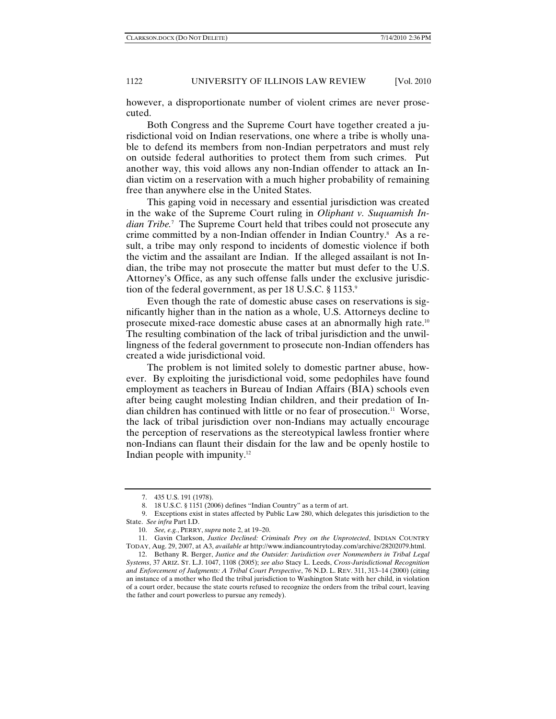however, a disproportionate number of violent crimes are never prosecuted.

Both Congress and the Supreme Court have together created a jurisdictional void on Indian reservations, one where a tribe is wholly unable to defend its members from non-Indian perpetrators and must rely on outside federal authorities to protect them from such crimes. Put another way, this void allows any non-Indian offender to attack an Indian victim on a reservation with a much higher probability of remaining free than anywhere else in the United States.

This gaping void in necessary and essential jurisdiction was created in the wake of the Supreme Court ruling in *Oliphant v. Suquamish Indian Tribe.*<sup>7</sup> The Supreme Court held that tribes could not prosecute any crime committed by a non-Indian offender in Indian Country.<sup>8</sup> As a result, a tribe may only respond to incidents of domestic violence if both the victim and the assailant are Indian. If the alleged assailant is not Indian, the tribe may not prosecute the matter but must defer to the U.S. Attorney's Office, as any such offense falls under the exclusive jurisdiction of the federal government, as per 18 U.S.C. § 1153.9

Even though the rate of domestic abuse cases on reservations is significantly higher than in the nation as a whole, U.S. Attorneys decline to prosecute mixed-race domestic abuse cases at an abnormally high rate.10 The resulting combination of the lack of tribal jurisdiction and the unwillingness of the federal government to prosecute non-Indian offenders has created a wide jurisdictional void.

The problem is not limited solely to domestic partner abuse, however. By exploiting the jurisdictional void, some pedophiles have found employment as teachers in Bureau of Indian Affairs (BIA) schools even after being caught molesting Indian children, and their predation of Indian children has continued with little or no fear of prosecution.11 Worse, the lack of tribal jurisdiction over non-Indians may actually encourage the perception of reservations as the stereotypical lawless frontier where non-Indians can flaunt their disdain for the law and be openly hostile to Indian people with impunity. $12$ 

 <sup>7. 435</sup> U.S. 191 (1978).

 <sup>8. 18</sup> U.S.C. § 1151 (2006) defines "Indian Country" as a term of art.

 <sup>9.</sup> Exceptions exist in states affected by Public Law 280, which delegates this jurisdiction to the State. *See infra* Part I.D.

 <sup>10.</sup> *See, e.g.*, PERRY, *supra* note 2, at 19–20.

 <sup>11.</sup> Gavin Clarkson, *Justice Declined: Criminals Prey on the Unprotected*, INDIAN COUNTRY TODAY, Aug. 29, 2007, at A3, *available at* http://www.indiancountrytoday.com/archive/28202079.html.

 <sup>12.</sup> Bethany R. Berger, *Justice and the Outsider: Jurisdiction over Nonmembers in Tribal Legal Systems*, 37 ARIZ. ST. L.J. 1047, 1108 (2005); *see also* Stacy L. Leeds, *Cross-Jurisdictional Recognition and Enforcement of Judgments: A Tribal Court Perspective*, 76 N.D. L. REV. 311, 313–14 (2000) (citing an instance of a mother who fled the tribal jurisdiction to Washington State with her child, in violation of a court order, because the state courts refused to recognize the orders from the tribal court, leaving the father and court powerless to pursue any remedy).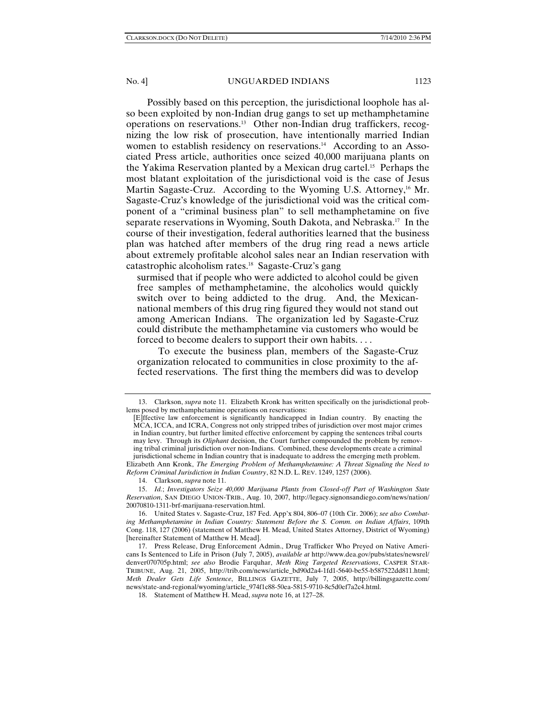Possibly based on this perception, the jurisdictional loophole has also been exploited by non-Indian drug gangs to set up methamphetamine operations on reservations.13 Other non-Indian drug traffickers, recognizing the low risk of prosecution, have intentionally married Indian women to establish residency on reservations.<sup>14</sup> According to an Associated Press article, authorities once seized 40,000 marijuana plants on the Yakima Reservation planted by a Mexican drug cartel.15 Perhaps the most blatant exploitation of the jurisdictional void is the case of Jesus Martin Sagaste-Cruz. According to the Wyoming U.S. Attorney,<sup>16</sup> Mr. Sagaste-Cruz's knowledge of the jurisdictional void was the critical component of a "criminal business plan" to sell methamphetamine on five separate reservations in Wyoming, South Dakota, and Nebraska.17 In the course of their investigation, federal authorities learned that the business plan was hatched after members of the drug ring read a news article about extremely profitable alcohol sales near an Indian reservation with catastrophic alcoholism rates.18 Sagaste-Cruz's gang

surmised that if people who were addicted to alcohol could be given free samples of methamphetamine, the alcoholics would quickly switch over to being addicted to the drug. And, the Mexicannational members of this drug ring figured they would not stand out among American Indians. The organization led by Sagaste-Cruz could distribute the methamphetamine via customers who would be forced to become dealers to support their own habits. . . .

To execute the business plan, members of the Sagaste-Cruz organization relocated to communities in close proximity to the affected reservations. The first thing the members did was to develop

 <sup>13.</sup> Clarkson, *supra* note 11. Elizabeth Kronk has written specifically on the jurisdictional problems posed by methamphetamine operations on reservations:

<sup>[</sup>E]ffective law enforcement is significantly handicapped in Indian country. By enacting the MCA, ICCA, and ICRA, Congress not only stripped tribes of jurisdiction over most major crimes in Indian country, but further limited effective enforcement by capping the sentences tribal courts may levy. Through its *Oliphant* decision, the Court further compounded the problem by removing tribal criminal jurisdiction over non-Indians. Combined, these developments create a criminal jurisdictional scheme in Indian country that is inadequate to address the emerging meth problem. Elizabeth Ann Kronk, *The Emerging Problem of Methamphetamine: A Threat Signaling the Need to* 

*Reform Criminal Jurisdiction in Indian Country*, 82 N.D. L. REV. 1249, 1257 (2006).

 <sup>14.</sup> Clarkson, *supra* note 11.

 <sup>15.</sup> *Id.*; *Investigators Seize 40,000 Marijuana Plants from Closed-off Part of Washington State Reservation*, SAN DIEGO UNION-TRIB., Aug. 10, 2007, http://legacy.signonsandiego.com/news/nation/ 20070810-1311-brf-marijuana-reservation.html.

 <sup>16.</sup> United States v. Sagaste-Cruz, 187 Fed. App'x 804, 806–07 (10th Cir. 2006); *see also Combating Methamphetamine in Indian Country: Statement Before the S. Comm. on Indian Affairs*, 109th Cong. 118, 127 (2006) (statement of Matthew H. Mead, United States Attorney, District of Wyoming) [hereinafter Statement of Matthew H. Mead].

 <sup>17.</sup> Press Release, Drug Enforcement Admin., Drug Trafficker Who Preyed on Native Americans Is Sentenced to Life in Prison (July 7, 2005), *available at* http://www.dea.gov/pubs/states/newsrel/ denver070705p.html; *see also* Brodie Farquhar, *Meth Ring Targeted Reservations*, CASPER STAR-TRIBUNE, Aug. 21, 2005, http://trib.com/news/article\_bd90d2a4-1fd1-5640-be55-b587522dd811.html; *Meth Dealer Gets Life Sentence*, BILLINGS GAZETTE, July 7, 2005, http://billingsgazette.com/ news/state-and-regional/wyoming/article\_974f1c88-50ea-5815-9710-8c5d0ef7a2c4.html.

 <sup>18.</sup> Statement of Matthew H. Mead, *supra* note 16, at 127–28.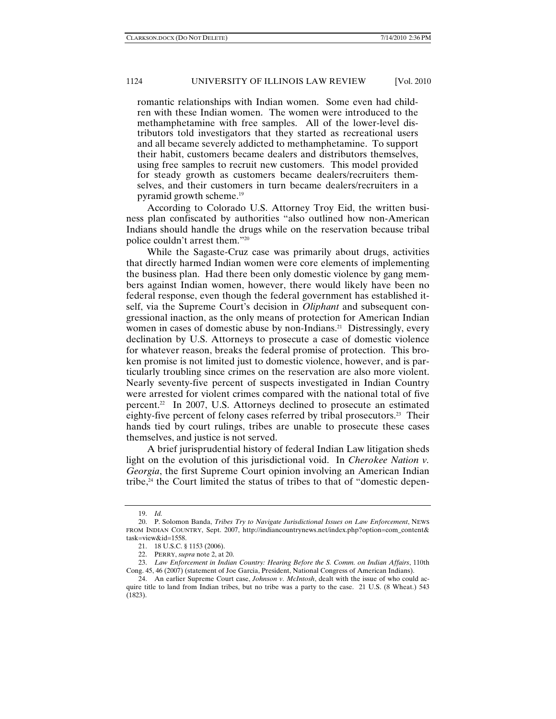romantic relationships with Indian women. Some even had children with these Indian women. The women were introduced to the methamphetamine with free samples. All of the lower-level distributors told investigators that they started as recreational users and all became severely addicted to methamphetamine. To support their habit, customers became dealers and distributors themselves, using free samples to recruit new customers. This model provided for steady growth as customers became dealers/recruiters themselves, and their customers in turn became dealers/recruiters in a pyramid growth scheme.19

According to Colorado U.S. Attorney Troy Eid, the written business plan confiscated by authorities "also outlined how non-American Indians should handle the drugs while on the reservation because tribal police couldn't arrest them."20

While the Sagaste-Cruz case was primarily about drugs, activities that directly harmed Indian women were core elements of implementing the business plan. Had there been only domestic violence by gang members against Indian women, however, there would likely have been no federal response, even though the federal government has established itself, via the Supreme Court's decision in *Oliphant* and subsequent congressional inaction, as the only means of protection for American Indian women in cases of domestic abuse by non-Indians.<sup>21</sup> Distressingly, every declination by U.S. Attorneys to prosecute a case of domestic violence for whatever reason, breaks the federal promise of protection. This broken promise is not limited just to domestic violence, however, and is particularly troubling since crimes on the reservation are also more violent. Nearly seventy-five percent of suspects investigated in Indian Country were arrested for violent crimes compared with the national total of five percent.22 In 2007, U.S. Attorneys declined to prosecute an estimated eighty-five percent of felony cases referred by tribal prosecutors.<sup>23</sup> Their hands tied by court rulings, tribes are unable to prosecute these cases themselves, and justice is not served.

A brief jurisprudential history of federal Indian Law litigation sheds light on the evolution of this jurisdictional void. In *Cherokee Nation v. Georgia*, the first Supreme Court opinion involving an American Indian tribe, $24$  the Court limited the status of tribes to that of "domestic depen-

 <sup>19.</sup> *Id.*

 <sup>20.</sup> P. Solomon Banda, *Tribes Try to Navigate Jurisdictional Issues on Law Enforcement*, NEWS FROM INDIAN COUNTRY, Sept. 2007, http://indiancountrynews.net/index.php?option=com\_content& task=view&id=1558.

 <sup>21. 18</sup> U.S.C. § 1153 (2006).

 <sup>22.</sup> PERRY, *supra* note 2, at 20.

 <sup>23.</sup> *Law Enforcement in Indian Country: Hearing Before the S. Comm. on Indian Affairs*, 110th Cong. 45, 46 (2007) (statement of Joe Garcia, President, National Congress of American Indians).

 <sup>24.</sup> An earlier Supreme Court case, *Johnson v. McIntosh*, dealt with the issue of who could acquire title to land from Indian tribes, but no tribe was a party to the case. 21 U.S. (8 Wheat.) 543 (1823).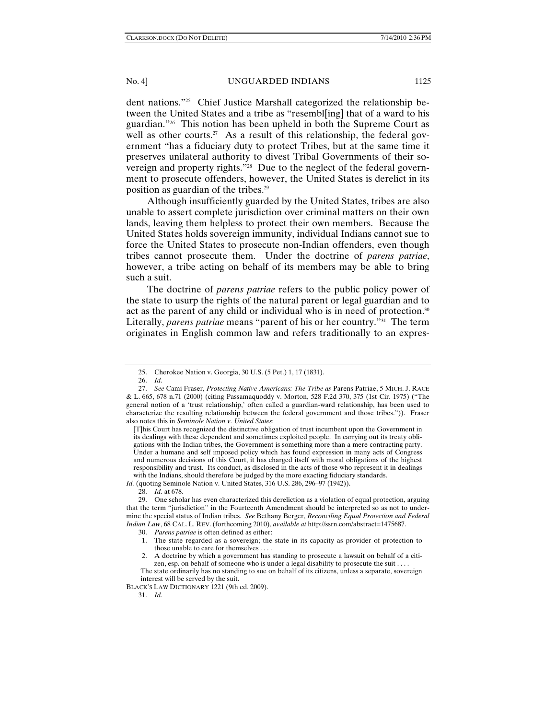dent nations."25 Chief Justice Marshall categorized the relationship between the United States and a tribe as "resembl[ing] that of a ward to his guardian."26 This notion has been upheld in both the Supreme Court as well as other courts.<sup>27</sup> As a result of this relationship, the federal government "has a fiduciary duty to protect Tribes, but at the same time it preserves unilateral authority to divest Tribal Governments of their sovereign and property rights."<sup>28</sup> Due to the neglect of the federal government to prosecute offenders, however, the United States is derelict in its position as guardian of the tribes.29

Although insufficiently guarded by the United States, tribes are also unable to assert complete jurisdiction over criminal matters on their own lands, leaving them helpless to protect their own members. Because the United States holds sovereign immunity, individual Indians cannot sue to force the United States to prosecute non-Indian offenders, even though tribes cannot prosecute them. Under the doctrine of *parens patriae*, however, a tribe acting on behalf of its members may be able to bring such a suit.

The doctrine of *parens patriae* refers to the public policy power of the state to usurp the rights of the natural parent or legal guardian and to act as the parent of any child or individual who is in need of protection.30 Literally, *parens patriae* means "parent of his or her country."31 The term originates in English common law and refers traditionally to an expres-

[T]his Court has recognized the distinctive obligation of trust incumbent upon the Government in its dealings with these dependent and sometimes exploited people. In carrying out its treaty obligations with the Indian tribes, the Government is something more than a mere contracting party. Under a humane and self imposed policy which has found expression in many acts of Congress and numerous decisions of this Court, it has charged itself with moral obligations of the highest responsibility and trust. Its conduct, as disclosed in the acts of those who represent it in dealings with the Indians, should therefore be judged by the more exacting fiduciary standards.

*Id.* (quoting Seminole Nation v. United States, 316 U.S. 286, 296–97 (1942)).

 29. One scholar has even characterized this dereliction as a violation of equal protection, arguing that the term "jurisdiction" in the Fourteenth Amendment should be interpreted so as not to undermine the special status of Indian tribes. *See* Bethany Berger, *Reconciling Equal Protection and Federal Indian Law*, 68 CAL. L. REV. (forthcoming 2010), *available at* http://ssrn.com/abstract=1475687.

 1. The state regarded as a sovereign; the state in its capacity as provider of protection to those unable to care for themselves . . . .

BLACK'S LAW DICTIONARY 1221 (9th ed. 2009).

31. *Id.*

 <sup>25.</sup> Cherokee Nation v. Georgia, 30 U.S. (5 Pet.) 1, 17 (1831).

 <sup>26.</sup> *Id.*

 <sup>27.</sup> *See* Cami Fraser, *Protecting Native Americans: The Tribe as* Parens Patriae, 5 MICH. J. RACE & L. 665, 678 n.71 (2000) (citing Passamaquoddy v. Morton, 528 F.2d 370, 375 (1st Cir. 1975) ("The general notion of a 'trust relationship,' often called a guardian-ward relationship, has been used to characterize the resulting relationship between the federal government and those tribes.")). Fraser also notes this in *Seminole Nation v. United States*:

 <sup>28.</sup> *Id.* at 678.

 <sup>30.</sup> *Parens patriae* is often defined as either:

 <sup>2.</sup> A doctrine by which a government has standing to prosecute a lawsuit on behalf of a citizen, esp. on behalf of someone who is under a legal disability to prosecute the suit . . . . The state ordinarily has no standing to sue on behalf of its citizens, unless a separate, sovereign interest will be served by the suit.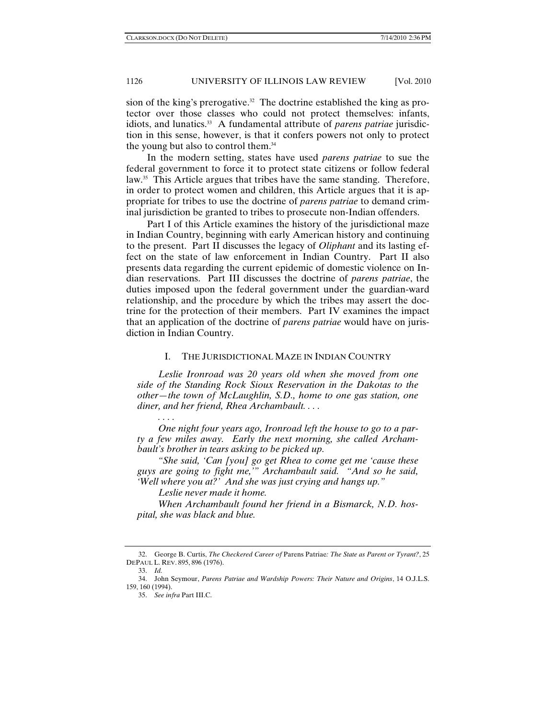sion of the king's prerogative.<sup>32</sup> The doctrine established the king as protector over those classes who could not protect themselves: infants, idiots, and lunatics.<sup>33</sup> A fundamental attribute of *parens patriae* jurisdiction in this sense, however, is that it confers powers not only to protect the young but also to control them.34

In the modern setting, states have used *parens patriae* to sue the federal government to force it to protect state citizens or follow federal law.<sup>35</sup> This Article argues that tribes have the same standing. Therefore, in order to protect women and children, this Article argues that it is appropriate for tribes to use the doctrine of *parens patriae* to demand criminal jurisdiction be granted to tribes to prosecute non-Indian offenders.

Part I of this Article examines the history of the jurisdictional maze in Indian Country, beginning with early American history and continuing to the present. Part II discusses the legacy of *Oliphant* and its lasting effect on the state of law enforcement in Indian Country. Part II also presents data regarding the current epidemic of domestic violence on Indian reservations. Part III discusses the doctrine of *parens patriae*, the duties imposed upon the federal government under the guardian-ward relationship, and the procedure by which the tribes may assert the doctrine for the protection of their members. Part IV examines the impact that an application of the doctrine of *parens patriae* would have on jurisdiction in Indian Country.

#### I. THE JURISDICTIONAL MAZE IN INDIAN COUNTRY

*Leslie Ironroad was 20 years old when she moved from one side of the Standing Rock Sioux Reservation in the Dakotas to the other—the town of McLaughlin, S.D., home to one gas station, one diner, and her friend, Rhea Archambault. . . .* 

*One night four years ago, Ironroad left the house to go to a party a few miles away. Early the next morning, she called Archambault's brother in tears asking to be picked up.* 

*"She said, 'Can [you] go get Rhea to come get me 'cause these guys are going to fight me,'" Archambault said. "And so he said, 'Well where you at?' And she was just crying and hangs up."* 

*Leslie never made it home.* 

*When Archambault found her friend in a Bismarck, N.D. hospital, she was black and blue.* 

*. . . .* 

 <sup>32.</sup> George B. Curtis, *The Checkered Career of* Parens Patriae*: The State as Parent or Tyrant?*, 25 DEPAUL L. REV. 895, 896 (1976).

 <sup>33.</sup> *Id.*

 <sup>34.</sup> John Seymour, *Parens Patriae and Wardship Powers: Their Nature and Origins*, 14 O.J.L.S. 159, 160 (1994).

 <sup>35.</sup> *See infra* Part III.C.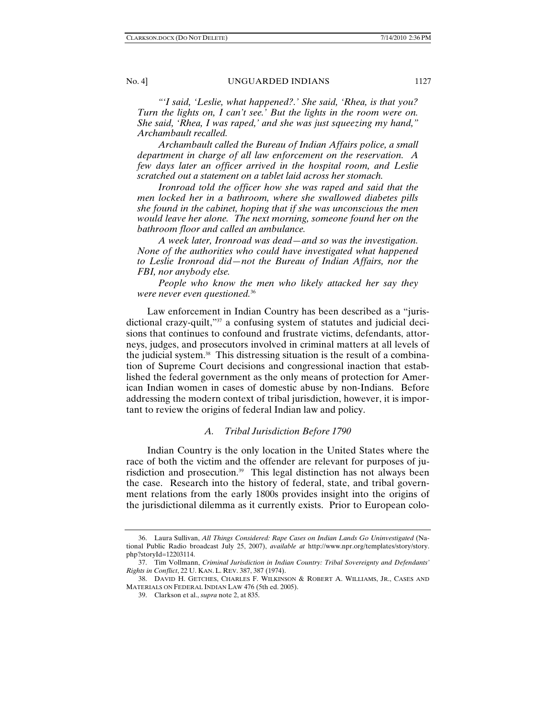*"'I said, 'Leslie, what happened?.' She said, 'Rhea, is that you? Turn the lights on, I can't see.' But the lights in the room were on. She said, 'Rhea, I was raped,' and she was just squeezing my hand," Archambault recalled.* 

*Archambault called the Bureau of Indian Affairs police, a small department in charge of all law enforcement on the reservation. A few days later an officer arrived in the hospital room, and Leslie scratched out a statement on a tablet laid across her stomach.* 

*Ironroad told the officer how she was raped and said that the men locked her in a bathroom, where she swallowed diabetes pills she found in the cabinet, hoping that if she was unconscious the men would leave her alone. The next morning, someone found her on the bathroom floor and called an ambulance.* 

*A week later, Ironroad was dead—and so was the investigation. None of the authorities who could have investigated what happened to Leslie Ironroad did—not the Bureau of Indian Affairs, nor the FBI, nor anybody else.* 

*People who know the men who likely attacked her say they were never even questioned.*<sup>36</sup>

Law enforcement in Indian Country has been described as a "jurisdictional crazy-quilt,"37 a confusing system of statutes and judicial decisions that continues to confound and frustrate victims, defendants, attorneys, judges, and prosecutors involved in criminal matters at all levels of the judicial system.38 This distressing situation is the result of a combination of Supreme Court decisions and congressional inaction that established the federal government as the only means of protection for American Indian women in cases of domestic abuse by non-Indians. Before addressing the modern context of tribal jurisdiction, however, it is important to review the origins of federal Indian law and policy.

#### *A. Tribal Jurisdiction Before 1790*

Indian Country is the only location in the United States where the race of both the victim and the offender are relevant for purposes of jurisdiction and prosecution.39 This legal distinction has not always been the case. Research into the history of federal, state, and tribal government relations from the early 1800s provides insight into the origins of the jurisdictional dilemma as it currently exists. Prior to European colo-

 <sup>36.</sup> Laura Sullivan, *All Things Considered: Rape Cases on Indian Lands Go Uninvestigated* (National Public Radio broadcast July 25, 2007), *available at* http://www.npr.org/templates/story/story. php?storyId=12203114.

 <sup>37.</sup> Tim Vollmann, *Criminal Jurisdiction in Indian Country: Tribal Sovereignty and Defendants' Rights in Conflict*, 22 U. KAN. L. REV. 387, 387 (1974).

 <sup>38.</sup> DAVID H. GETCHES, CHARLES F. WILKINSON & ROBERT A. WILLIAMS, JR., CASES AND MATERIALS ON FEDERAL INDIAN LAW 476 (5th ed. 2005).

 <sup>39.</sup> Clarkson et al., *supra* note 2, at 835.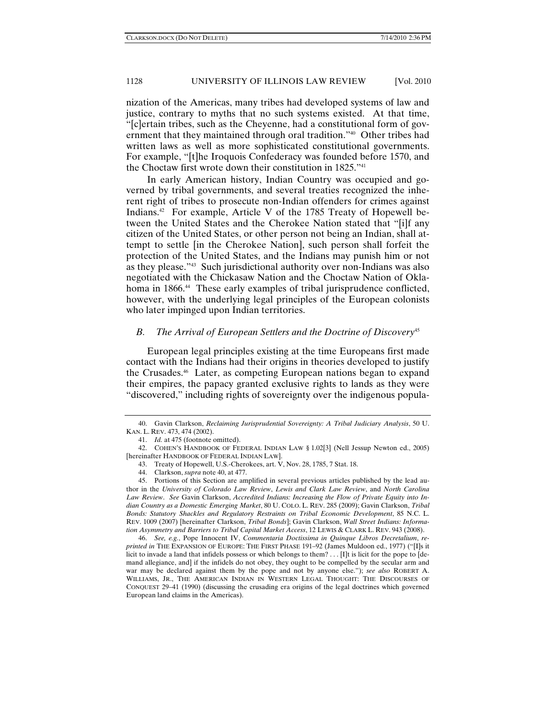nization of the Americas, many tribes had developed systems of law and justice, contrary to myths that no such systems existed. At that time, "[c]ertain tribes, such as the Cheyenne, had a constitutional form of government that they maintained through oral tradition."40 Other tribes had written laws as well as more sophisticated constitutional governments. For example, "[t]he Iroquois Confederacy was founded before 1570, and the Choctaw first wrote down their constitution in 1825."41

In early American history, Indian Country was occupied and governed by tribal governments, and several treaties recognized the inherent right of tribes to prosecute non-Indian offenders for crimes against Indians.42 For example, Article V of the 1785 Treaty of Hopewell between the United States and the Cherokee Nation stated that "[i]f any citizen of the United States, or other person not being an Indian, shall attempt to settle [in the Cherokee Nation], such person shall forfeit the protection of the United States, and the Indians may punish him or not as they please."43 Such jurisdictional authority over non-Indians was also negotiated with the Chickasaw Nation and the Choctaw Nation of Oklahoma in 1866.<sup>44</sup> These early examples of tribal jurisprudence conflicted, however, with the underlying legal principles of the European colonists who later impinged upon Indian territories.

### *B. The Arrival of European Settlers and the Doctrine of Discovery*<sup>45</sup>

European legal principles existing at the time Europeans first made contact with the Indians had their origins in theories developed to justify the Crusades.46 Later, as competing European nations began to expand their empires, the papacy granted exclusive rights to lands as they were "discovered," including rights of sovereignty over the indigenous popula-

 <sup>40.</sup> Gavin Clarkson, *Reclaiming Jurisprudential Sovereignty: A Tribal Judiciary Analysis*, 50 U. KAN. L. REV. 473, 474 (2002).

 <sup>41.</sup> *Id.* at 475 (footnote omitted).

 <sup>42.</sup> COHEN'S HANDBOOK OF FEDERAL INDIAN LAW § 1.02[3] (Nell Jessup Newton ed., 2005) [hereinafter HANDBOOK OF FEDERAL INDIAN LAW].

 <sup>43.</sup> Treaty of Hopewell, U.S.-Cherokees, art. V, Nov. 28, 1785, 7 Stat. 18.

 <sup>44.</sup> Clarkson, *supra* note 40, at 477.

 <sup>45.</sup> Portions of this Section are amplified in several previous articles published by the lead author in the *University of Colorado Law Review*, *Lewis and Clark Law Review*, and *North Carolina Law Review*. *See* Gavin Clarkson, *Accredited Indians: Increasing the Flow of Private Equity into Indian Country as a Domestic Emerging Market*, 80 U. COLO. L. REV. 285 (2009); Gavin Clarkson, *Tribal Bonds: Statutory Shackles and Regulatory Restraints on Tribal Economic Development*, 85 N.C. L. REV. 1009 (2007) [hereinafter Clarkson, *Tribal Bonds*]; Gavin Clarkson, *Wall Street Indians: Information Asymmetry and Barriers to Tribal Capital Market Access*, 12 LEWIS & CLARK L. REV. 943 (2008).

 <sup>46.</sup> *See, e.g.*, Pope Innocent IV, *Commentaria Doctissima in Quinque Libros Decretalium*, *reprinted in* THE EXPANSION OF EUROPE: THE FIRST PHASE 191–92 (James Muldoon ed., 1977) ("[I]s it licit to invade a land that infidels possess or which belongs to them? . . . [I]t is licit for the pope to [demand allegiance, and] if the infidels do not obey, they ought to be compelled by the secular arm and war may be declared against them by the pope and not by anyone else."); *see also* ROBERT A. WILLIAMS, JR., THE AMERICAN INDIAN IN WESTERN LEGAL THOUGHT: THE DISCOURSES OF CONQUEST 29–41 (1990) (discussing the crusading era origins of the legal doctrines which governed European land claims in the Americas).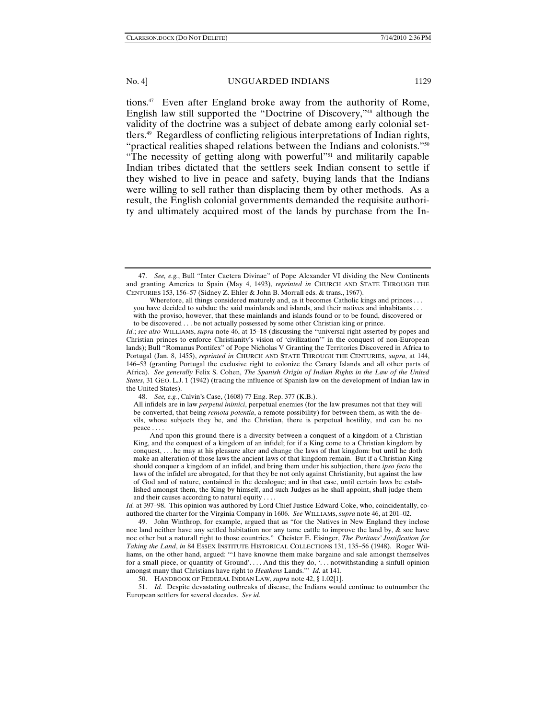tions.47 Even after England broke away from the authority of Rome, English law still supported the "Doctrine of Discovery,"48 although the validity of the doctrine was a subject of debate among early colonial settlers.49 Regardless of conflicting religious interpretations of Indian rights, "practical realities shaped relations between the Indians and colonists."50 "The necessity of getting along with powerful"<sup>51</sup> and militarily capable Indian tribes dictated that the settlers seek Indian consent to settle if they wished to live in peace and safety, buying lands that the Indians were willing to sell rather than displacing them by other methods. As a result, the English colonial governments demanded the requisite authority and ultimately acquired most of the lands by purchase from the In-

50. HANDBOOK OF FEDERAL INDIAN LAW, *supra* note 42, § 1.02[1].

 51. *Id.* Despite devastating outbreaks of disease, the Indians would continue to outnumber the European settlers for several decades. *See id.*

 <sup>47.</sup> *See, e.g.*, Bull "Inter Caetera Divinae" of Pope Alexander VI dividing the New Continents and granting America to Spain (May 4, 1493), *reprinted in* CHURCH AND STATE THROUGH THE CENTURIES 153, 156–57 (Sidney Z. Ehler & John B. Morrall eds. & trans., 1967).

Wherefore, all things considered maturely and, as it becomes Catholic kings and princes . . . you have decided to subdue the said mainlands and islands, and their natives and inhabitants . . .

with the proviso, however, that these mainlands and islands found or to be found, discovered or to be discovered . . . be not actually possessed by some other Christian king or prince.

*Id.*; *see also* WILLIAMS, *supra* note 46, at 15–18 (discussing the "universal right asserted by popes and Christian princes to enforce Christianity's vision of 'civilization'" in the conquest of non-European lands); Bull "Romanus Pontifex" of Pope Nicholas V Granting the Territories Discovered in Africa to Portugal (Jan. 8, 1455), *reprinted in* CHURCH AND STATE THROUGH THE CENTURIES, *supra*, at 144, 146–53 (granting Portugal the exclusive right to colonize the Canary Islands and all other parts of Africa). *See generally* Felix S. Cohen, *The Spanish Origin of Indian Rights in the Law of the United States*, 31 GEO. L.J. 1 (1942) (tracing the influence of Spanish law on the development of Indian law in the United States).

 <sup>48.</sup> *See, e.g.*, Calvin's Case, (1608) 77 Eng. Rep. 377 (K.B.).

All infidels are in law *perpetui inimici*, perpetual enemies (for the law presumes not that they will be converted, that being *remota potentia*, a remote possibility) for between them, as with the devils, whose subjects they be, and the Christian, there is perpetual hostility, and can be no peace . . . .

And upon this ground there is a diversity between a conquest of a kingdom of a Christian King, and the conquest of a kingdom of an infidel; for if a King come to a Christian kingdom by conquest, . . . he may at his pleasure alter and change the laws of that kingdom: but until he doth make an alteration of those laws the ancient laws of that kingdom remain. But if a Christian King should conquer a kingdom of an infidel, and bring them under his subjection, there *ipso facto* the laws of the infidel are abrogated, for that they be not only against Christianity, but against the law of God and of nature, contained in the decalogue; and in that case, until certain laws be established amongst them, the King by himself, and such Judges as he shall appoint, shall judge them and their causes according to natural equity . . . .

*Id.* at 397–98. This opinion was authored by Lord Chief Justice Edward Coke, who, coincidentally, coauthored the charter for the Virginia Company in 1606. *See* WILLIAMS, *supra* note 46, at 201–02.

 <sup>49.</sup> John Winthrop, for example, argued that as "for the Natives in New England they inclose noe land neither have any settled habitation nor any tame cattle to improve the land by, & soe have noe other but a naturall right to those countries." Cheister E. Eisinger, *The Puritans' Justification for Taking the Land*, *in* 84 ESSEX INSTITUTE HISTORICAL COLLECTIONS 131, 135–56 (1948). Roger Williams, on the other hand, argued: "'I have knowne them make bargaine and sale amongst themselves for a small piece, or quantity of Ground'. . . . And this they do, '. . . notwithstanding a sinfull opinion amongst many that Christians have right to *Heathens* Lands.'" *Id.* at 141.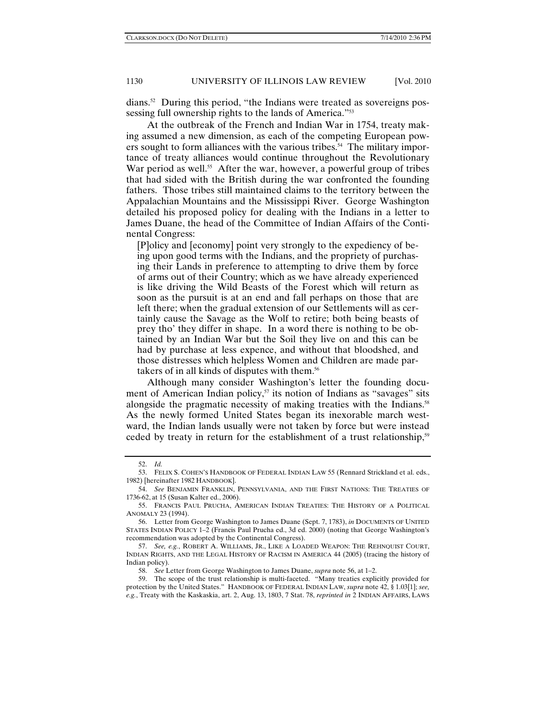dians.52 During this period, "the Indians were treated as sovereigns possessing full ownership rights to the lands of America."<sup>53</sup>

At the outbreak of the French and Indian War in 1754, treaty making assumed a new dimension, as each of the competing European powers sought to form alliances with the various tribes.<sup>54</sup> The military importance of treaty alliances would continue throughout the Revolutionary War period as well.<sup>55</sup> After the war, however, a powerful group of tribes that had sided with the British during the war confronted the founding fathers. Those tribes still maintained claims to the territory between the Appalachian Mountains and the Mississippi River. George Washington detailed his proposed policy for dealing with the Indians in a letter to James Duane, the head of the Committee of Indian Affairs of the Continental Congress:

[P]olicy and [economy] point very strongly to the expediency of being upon good terms with the Indians, and the propriety of purchasing their Lands in preference to attempting to drive them by force of arms out of their Country; which as we have already experienced is like driving the Wild Beasts of the Forest which will return as soon as the pursuit is at an end and fall perhaps on those that are left there; when the gradual extension of our Settlements will as certainly cause the Savage as the Wolf to retire; both being beasts of prey tho' they differ in shape. In a word there is nothing to be obtained by an Indian War but the Soil they live on and this can be had by purchase at less expence, and without that bloodshed, and those distresses which helpless Women and Children are made partakers of in all kinds of disputes with them.56

Although many consider Washington's letter the founding document of American Indian policy, $57$  its notion of Indians as "savages" sits alongside the pragmatic necessity of making treaties with the Indians.<sup>58</sup> As the newly formed United States began its inexorable march westward, the Indian lands usually were not taken by force but were instead ceded by treaty in return for the establishment of a trust relationship,<sup>59</sup>

 <sup>52.</sup> *Id.*

 <sup>53.</sup> FELIX S. COHEN'S HANDBOOK OF FEDERAL INDIAN LAW 55 (Rennard Strickland et al. eds., 1982) [hereinafter 1982 HANDBOOK].

 <sup>54.</sup> *See* BENJAMIN FRANKLIN, PENNSYLVANIA, AND THE FIRST NATIONS: THE TREATIES OF 1736-62, at 15 (Susan Kalter ed., 2006).

 <sup>55.</sup> FRANCIS PAUL PRUCHA, AMERICAN INDIAN TREATIES: THE HISTORY OF A POLITICAL ANOMALY 23 (1994).

 <sup>56.</sup> Letter from George Washington to James Duane (Sept. 7, 1783), *in* DOCUMENTS OF UNITED STATES INDIAN POLICY 1–2 (Francis Paul Prucha ed., 3d ed. 2000) (noting that George Washington's recommendation was adopted by the Continental Congress).

 <sup>57.</sup> *See, e.g.*, ROBERT A. WILLIAMS, JR., LIKE A LOADED WEAPON: THE REHNQUIST COURT, INDIAN RIGHTS, AND THE LEGAL HISTORY OF RACISM IN AMERICA 44 (2005) (tracing the history of Indian policy).

 <sup>58.</sup> *See* Letter from George Washington to James Duane, *supra* note 56, at 1–2.

 <sup>59.</sup> The scope of the trust relationship is multi-faceted. "Many treaties explicitly provided for protection by the United States." HANDBOOK OF FEDERAL INDIAN LAW, *supra* note 42, § 1.03[1]; *see, e.g.*, Treaty with the Kaskaskia, art. 2, Aug. 13, 1803, 7 Stat. 78, *reprinted in* 2 INDIAN AFFAIRS, LAWS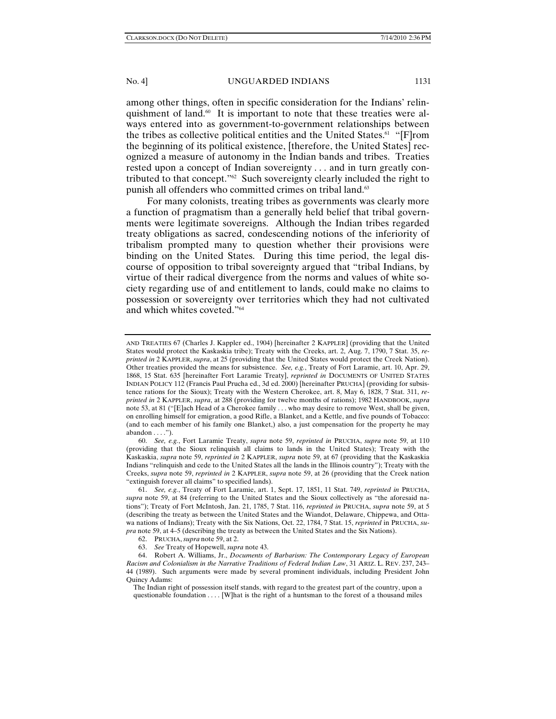among other things, often in specific consideration for the Indians' relinquishment of land.60 It is important to note that these treaties were always entered into as government-to-government relationships between the tribes as collective political entities and the United States.<sup>61</sup> "[F]rom the beginning of its political existence, [therefore, the United States] recognized a measure of autonomy in the Indian bands and tribes. Treaties rested upon a concept of Indian sovereignty . . . and in turn greatly contributed to that concept."62 Such sovereignty clearly included the right to punish all offenders who committed crimes on tribal land.<sup>63</sup>

For many colonists, treating tribes as governments was clearly more a function of pragmatism than a generally held belief that tribal governments were legitimate sovereigns. Although the Indian tribes regarded treaty obligations as sacred, condescending notions of the inferiority of tribalism prompted many to question whether their provisions were binding on the United States. During this time period, the legal discourse of opposition to tribal sovereignty argued that "tribal Indians, by virtue of their radical divergence from the norms and values of white society regarding use of and entitlement to lands, could make no claims to possession or sovereignty over territories which they had not cultivated and which whites coveted."64

 60. *See, e.g.*, Fort Laramie Treaty, *supra* note 59, *reprinted in* PRUCHA, *supra* note 59, at 110 (providing that the Sioux relinquish all claims to lands in the United States); Treaty with the Kaskaskia, *supra* note 59, *reprinted in* 2 KAPPLER, *supra* note 59, at 67 (providing that the Kaskaskia Indians "relinquish and cede to the United States all the lands in the Illinois country"); Treaty with the Creeks, *supra* note 59, *reprinted in* 2 KAPPLER, *supra* note 59, at 26 (providing that the Creek nation "extinguish forever all claims" to specified lands).

AND TREATIES 67 (Charles J. Kappler ed., 1904) [hereinafter 2 KAPPLER] (providing that the United States would protect the Kaskaskia tribe); Treaty with the Creeks, art. 2, Aug. 7, 1790, 7 Stat. 35, *reprinted in* 2 KAPPLER, *supra*, at 25 (providing that the United States would protect the Creek Nation). Other treaties provided the means for subsistence. *See, e.g.*, Treaty of Fort Laramie, art. 10, Apr. 29, 1868, 15 Stat. 635 [hereinafter Fort Laramie Treaty], *reprinted in* DOCUMENTS OF UNITED STATES INDIAN POLICY 112 (Francis Paul Prucha ed., 3d ed. 2000) [hereinafter PRUCHA] (providing for subsistence rations for the Sioux); Treaty with the Western Cherokee, art. 8, May 6, 1828, 7 Stat. 311, *reprinted in* 2 KAPPLER, *supra*, at 288 (providing for twelve months of rations); 1982 HANDBOOK, *supra*  note 53, at 81 ("[E]ach Head of a Cherokee family . . . who may desire to remove West, shall be given, on enrolling himself for emigration, a good Rifle, a Blanket, and a Kettle, and five pounds of Tobacco: (and to each member of his family one Blanket,) also, a just compensation for the property he may abandon . . . .").

 <sup>61.</sup> *See, e.g.*, Treaty of Fort Laramie, art. 1, Sept. 17, 1851, 11 Stat. 749, *reprinted in* PRUCHA, *supra* note 59, at 84 (referring to the United States and the Sioux collectively as "the aforesaid nations"); Treaty of Fort McIntosh, Jan. 21, 1785, 7 Stat. 116, *reprinted in* PRUCHA, *supra* note 59, at 5 (describing the treaty as between the United States and the Wiandot, Delaware, Chippewa, and Ottawa nations of Indians); Treaty with the Six Nations, Oct. 22, 1784, 7 Stat. 15, *reprinted* in PRUCHA, *supra* note 59, at 4–5 (describing the treaty as between the United States and the Six Nations).

 <sup>62.</sup> PRUCHA, *supra* note 59, at 2.

 <sup>63.</sup> *See* Treaty of Hopewell, *supra* note 43.

 <sup>64.</sup> Robert A. Williams, Jr., *Documents of Barbarism: The Contemporary Legacy of European Racism and Colonialism in the Narrative Traditions of Federal Indian Law*, 31 ARIZ. L. REV. 237, 243– 44 (1989). Such arguments were made by several prominent individuals, including President John Quincy Adams:

The Indian right of possession itself stands, with regard to the greatest part of the country, upon a questionable foundation . . . . [W]hat is the right of a huntsman to the forest of a thousand miles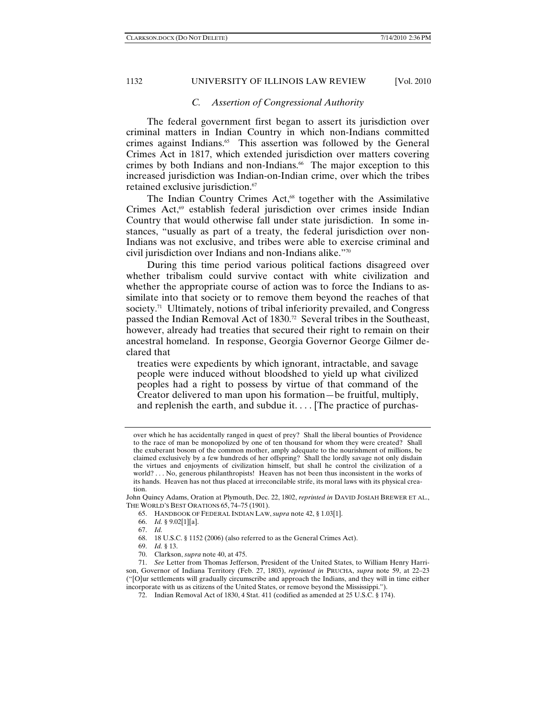#### *C. Assertion of Congressional Authority*

The federal government first began to assert its jurisdiction over criminal matters in Indian Country in which non-Indians committed crimes against Indians. $65$  This assertion was followed by the General Crimes Act in 1817, which extended jurisdiction over matters covering crimes by both Indians and non-Indians.<sup>66</sup> The major exception to this increased jurisdiction was Indian-on-Indian crime, over which the tribes retained exclusive jurisdiction.<sup>67</sup>

The Indian Country Crimes Act,<sup>68</sup> together with the Assimilative Crimes Act,<sup>69</sup> establish federal jurisdiction over crimes inside Indian Country that would otherwise fall under state jurisdiction. In some instances, "usually as part of a treaty, the federal jurisdiction over non-Indians was not exclusive, and tribes were able to exercise criminal and civil jurisdiction over Indians and non-Indians alike."70

During this time period various political factions disagreed over whether tribalism could survive contact with white civilization and whether the appropriate course of action was to force the Indians to assimilate into that society or to remove them beyond the reaches of that society.<sup>71</sup> Ultimately, notions of tribal inferiority prevailed, and Congress passed the Indian Removal Act of 1830.<sup>72</sup> Several tribes in the Southeast, however, already had treaties that secured their right to remain on their ancestral homeland. In response, Georgia Governor George Gilmer declared that

treaties were expedients by which ignorant, intractable, and savage people were induced without bloodshed to yield up what civilized peoples had a right to possess by virtue of that command of the Creator delivered to man upon his formation—be fruitful, multiply, and replenish the earth, and subdue it. . . . [The practice of purchas-

John Quincy Adams, Oration at Plymouth, Dec. 22, 1802, *reprinted in* DAVID JOSIAH BREWER ET AL., THE WORLD'S BEST ORATIONS 65, 74–75 (1901).

- 65. HANDBOOK OF FEDERAL INDIAN LAW, *supra* note 42, § 1.03[1].
- 66. *Id.* § 9.02[1][a].
- 67. *Id.*
- 68. 18 U.S.C. § 1152 (2006) (also referred to as the General Crimes Act).
- 69. *Id.* § 13.
- 70. Clarkson, *supra* note 40, at 475.

72. Indian Removal Act of 1830, 4 Stat. 411 (codified as amended at 25 U.S.C. § 174).

over which he has accidentally ranged in quest of prey? Shall the liberal bounties of Providence to the race of man be monopolized by one of ten thousand for whom they were created? Shall the exuberant bosom of the common mother, amply adequate to the nourishment of millions, be claimed exclusively by a few hundreds of her offspring? Shall the lordly savage not only disdain the virtues and enjoyments of civilization himself, but shall he control the civilization of a world? . . . No, generous philanthropists! Heaven has not been thus inconsistent in the works of its hands. Heaven has not thus placed at irreconcilable strife, its moral laws with its physical creation.

 <sup>71.</sup> *See* Letter from Thomas Jefferson, President of the United States, to William Henry Harrison, Governor of Indiana Territory (Feb. 27, 1803), *reprinted in* PRUCHA, *supra* note 59, at 22–23 ("[O]ur settlements will gradually circumscribe and approach the Indians, and they will in time either incorporate with us as citizens of the United States, or remove beyond the Mississippi.").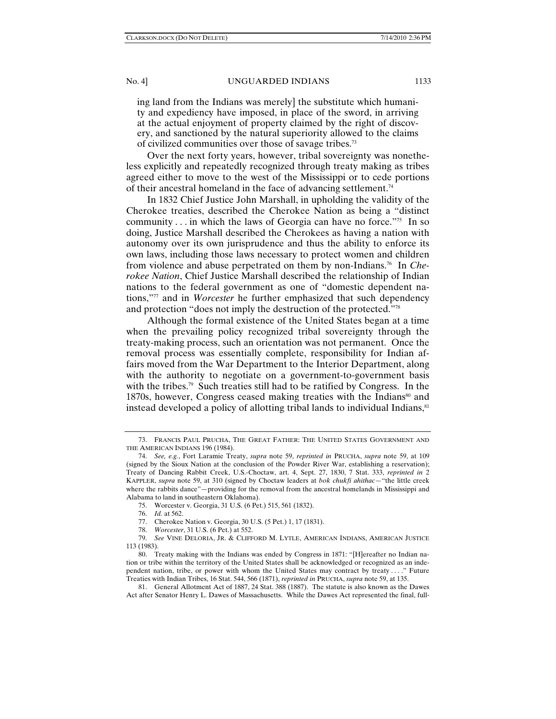ing land from the Indians was merely] the substitute which humanity and expediency have imposed, in place of the sword, in arriving at the actual enjoyment of property claimed by the right of discovery, and sanctioned by the natural superiority allowed to the claims of civilized communities over those of savage tribes.73

Over the next forty years, however, tribal sovereignty was nonetheless explicitly and repeatedly recognized through treaty making as tribes agreed either to move to the west of the Mississippi or to cede portions of their ancestral homeland in the face of advancing settlement.74

In 1832 Chief Justice John Marshall, in upholding the validity of the Cherokee treaties, described the Cherokee Nation as being a "distinct community  $\ldots$  in which the laws of Georgia can have no force.<sup>"75</sup> In so doing, Justice Marshall described the Cherokees as having a nation with autonomy over its own jurisprudence and thus the ability to enforce its own laws, including those laws necessary to protect women and children from violence and abuse perpetrated on them by non-Indians.76 In *Cherokee Nation*, Chief Justice Marshall described the relationship of Indian nations to the federal government as one of "domestic dependent nations,"77 and in *Worcester* he further emphasized that such dependency and protection "does not imply the destruction of the protected."78

Although the formal existence of the United States began at a time when the prevailing policy recognized tribal sovereignty through the treaty-making process, such an orientation was not permanent. Once the removal process was essentially complete, responsibility for Indian affairs moved from the War Department to the Interior Department, along with the authority to negotiate on a government-to-government basis with the tribes.<sup>79</sup> Such treaties still had to be ratified by Congress. In the 1870s, however, Congress ceased making treaties with the Indians<sup>80</sup> and instead developed a policy of allotting tribal lands to individual Indians, $81$ 

 <sup>73.</sup> FRANCIS PAUL PRUCHA, THE GREAT FATHER: THE UNITED STATES GOVERNMENT AND THE AMERICAN INDIANS 196 (1984).

 <sup>74.</sup> *See, e.g.*, Fort Laramie Treaty, *supra* note 59, *reprinted in* PRUCHA, *supra* note 59, at 109 (signed by the Sioux Nation at the conclusion of the Powder River War, establishing a reservation); Treaty of Dancing Rabbit Creek, U.S.-Choctaw, art. 4, Sept. 27, 1830, 7 Stat. 333, *reprinted in* 2 KAPPLER, *supra* note 59, at 310 (signed by Choctaw leaders at *bok chukfi ahithac*—"the little creek where the rabbits dance"—providing for the removal from the ancestral homelands in Mississippi and Alabama to land in southeastern Oklahoma).

 <sup>75.</sup> Worcester v. Georgia, 31 U.S. (6 Pet.) 515, 561 (1832).

 <sup>76.</sup> *Id.* at 562.

 <sup>77.</sup> Cherokee Nation v. Georgia, 30 U.S. (5 Pet.) 1, 17 (1831).

 <sup>78.</sup> *Worcester*, 31 U.S. (6 Pet.) at 552.

 <sup>79.</sup> *See* VINE DELORIA, JR. & CLIFFORD M. LYTLE, AMERICAN INDIANS, AMERICAN JUSTICE 113 (1983).

 <sup>80.</sup> Treaty making with the Indians was ended by Congress in 1871: "[H]ereafter no Indian nation or tribe within the territory of the United States shall be acknowledged or recognized as an independent nation, tribe, or power with whom the United States may contract by treaty . . . ." Future Treaties with Indian Tribes, 16 Stat. 544, 566 (1871), *reprinted in* PRUCHA, *supra* note 59, at 135.

 <sup>81.</sup> General Allotment Act of 1887, 24 Stat. 388 (1887). The statute is also known as the Dawes Act after Senator Henry L. Dawes of Massachusetts. While the Dawes Act represented the final, full-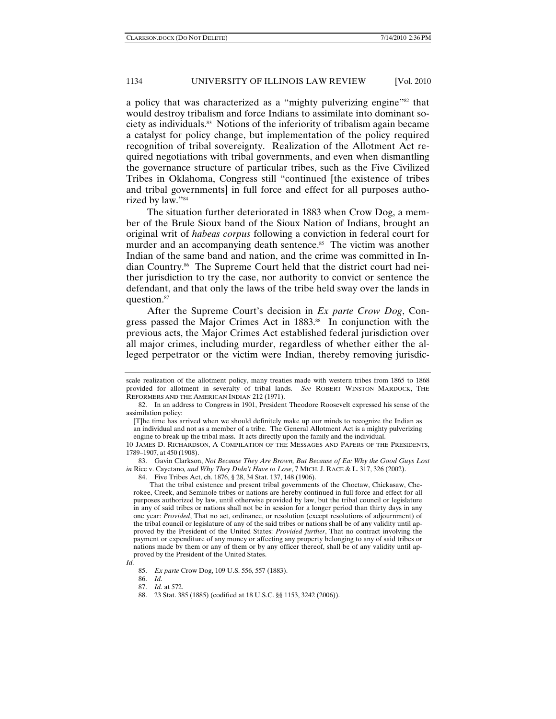a policy that was characterized as a "mighty pulverizing engine"<sup>82</sup> that would destroy tribalism and force Indians to assimilate into dominant society as individuals.83 Notions of the inferiority of tribalism again became a catalyst for policy change, but implementation of the policy required recognition of tribal sovereignty. Realization of the Allotment Act required negotiations with tribal governments, and even when dismantling the governance structure of particular tribes, such as the Five Civilized Tribes in Oklahoma, Congress still "continued [the existence of tribes and tribal governments] in full force and effect for all purposes authorized by law."84

The situation further deteriorated in 1883 when Crow Dog, a member of the Brule Sioux band of the Sioux Nation of Indians, brought an original writ of *habeas corpus* following a conviction in federal court for murder and an accompanying death sentence.<sup>85</sup> The victim was another Indian of the same band and nation, and the crime was committed in Indian Country.86 The Supreme Court held that the district court had neither jurisdiction to try the case, nor authority to convict or sentence the defendant, and that only the laws of the tribe held sway over the lands in question.87

After the Supreme Court's decision in *Ex parte Crow Dog*, Congress passed the Major Crimes Act in 1883.<sup>88</sup> In conjunction with the previous acts, the Major Crimes Act established federal jurisdiction over all major crimes, including murder, regardless of whether either the alleged perpetrator or the victim were Indian, thereby removing jurisdic-

 83. Gavin Clarkson, *Not Because They Are Brown, But Because of Ea: Why the Good Guys Lost in* Rice v. Cayetano*, and Why They Didn't Have to Lose*, 7 MICH. J. RACE & L. 317, 326 (2002).

That the tribal existence and present tribal governments of the Choctaw, Chickasaw, Cherokee, Creek, and Seminole tribes or nations are hereby continued in full force and effect for all purposes authorized by law, until otherwise provided by law, but the tribal council or legislature in any of said tribes or nations shall not be in session for a longer period than thirty days in any one year: *Provided*, That no act, ordinance, or resolution (except resolutions of adjournment) of the tribal council or legislature of any of the said tribes or nations shall be of any validity until approved by the President of the United States: *Provided further*, That no contract involving the payment or expenditure of any money or affecting any property belonging to any of said tribes or nations made by them or any of them or by any officer thereof, shall be of any validity until approved by the President of the United States.

86. *Id.*

scale realization of the allotment policy, many treaties made with western tribes from 1865 to 1868 provided for allotment in severalty of tribal lands. *See* ROBERT WINSTON MARDOCK, THE REFORMERS AND THE AMERICAN INDIAN 212 (1971).

 <sup>82.</sup> In an address to Congress in 1901, President Theodore Roosevelt expressed his sense of the assimilation policy:

<sup>[</sup>T]he time has arrived when we should definitely make up our minds to recognize the Indian as an individual and not as a member of a tribe. The General Allotment Act is a mighty pulverizing engine to break up the tribal mass. It acts directly upon the family and the individual.

<sup>10</sup> JAMES D. RICHARDSON, A COMPILATION OF THE MESSAGES AND PAPERS OF THE PRESIDENTS, 1789–1907, at 450 (1908).

 <sup>84.</sup> Five Tribes Act, ch. 1876, § 28, 34 Stat. 137, 148 (1906).

*Id.*

 <sup>85.</sup> *Ex parte* Crow Dog, 109 U.S. 556, 557 (1883).

 <sup>87.</sup> *Id.* at 572.

 <sup>88. 23</sup> Stat. 385 (1885) (codified at 18 U.S.C. §§ 1153, 3242 (2006)).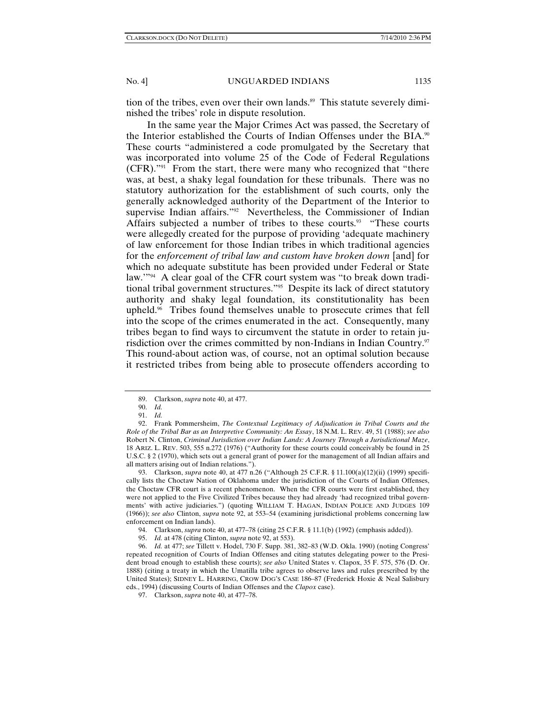tion of the tribes, even over their own lands.<sup>89</sup> This statute severely diminished the tribes' role in dispute resolution.

In the same year the Major Crimes Act was passed, the Secretary of the Interior established the Courts of Indian Offenses under the BIA.<sup>90</sup> These courts "administered a code promulgated by the Secretary that was incorporated into volume 25 of the Code of Federal Regulations (CFR)."91 From the start, there were many who recognized that "there was, at best, a shaky legal foundation for these tribunals. There was no statutory authorization for the establishment of such courts, only the generally acknowledged authority of the Department of the Interior to supervise Indian affairs."<sup>92</sup> Nevertheless, the Commissioner of Indian Affairs subjected a number of tribes to these courts.<sup>93</sup> "These courts" were allegedly created for the purpose of providing 'adequate machinery of law enforcement for those Indian tribes in which traditional agencies for the *enforcement of tribal law and custom have broken down* [and] for which no adequate substitute has been provided under Federal or State law.'"94 A clear goal of the CFR court system was "to break down traditional tribal government structures."95 Despite its lack of direct statutory authority and shaky legal foundation, its constitutionality has been upheld.96 Tribes found themselves unable to prosecute crimes that fell into the scope of the crimes enumerated in the act. Consequently, many tribes began to find ways to circumvent the statute in order to retain jurisdiction over the crimes committed by non-Indians in Indian Country. $\mathfrak{S}$ This round-about action was, of course, not an optimal solution because it restricted tribes from being able to prosecute offenders according to

 92. Frank Pommersheim, *The Contextual Legitimacy of Adjudication in Tribal Courts and the Role of the Tribal Bar as an Interpretive Community: An Essay*, 18 N.M. L. REV. 49, 51 (1988); *see also* Robert N. Clinton, *Criminal Jurisdiction over Indian Lands: A Journey Through a Jurisdictional Maze*, 18 ARIZ. L. REV. 503, 555 n.272 (1976) ("Authority for these courts could conceivably be found in 25 U.S.C. § 2 (1970), which sets out a general grant of power for the management of all Indian affairs and all matters arising out of Indian relations.").

 93. Clarkson, *supra* note 40, at 477 n.26 ("Although 25 C.F.R. § 11.100(a)(12)(ii) (1999) specifically lists the Choctaw Nation of Oklahoma under the jurisdiction of the Courts of Indian Offenses, the Choctaw CFR court is a recent phenomenon. When the CFR courts were first established, they were not applied to the Five Civilized Tribes because they had already 'had recognized tribal governments' with active judiciaries.") (quoting WILLIAM T. HAGAN, INDIAN POLICE AND JUDGES 109 (1966)); *see also* Clinton, *supra* note 92, at 553–54 (examining jurisdictional problems concerning law enforcement on Indian lands).

 96. *Id.* at 477; *see* Tillett v. Hodel, 730 F. Supp. 381, 382–83 (W.D. Okla. 1990) (noting Congress' repeated recognition of Courts of Indian Offenses and citing statutes delegating power to the President broad enough to establish these courts); *see also* United States v. Clapox, 35 F. 575, 576 (D. Or. 1888) (citing a treaty in which the Umatilla tribe agrees to observe laws and rules prescribed by the United States); SIDNEY L. HARRING, CROW DOG'S CASE 186–87 (Frederick Hoxie & Neal Salisbury eds., 1994) (discussing Courts of Indian Offenses and the *Clapox* case).

 <sup>89.</sup> Clarkson, *supra* note 40, at 477.

 <sup>90.</sup> *Id.*

 <sup>91.</sup> *Id.*

 <sup>94.</sup> Clarkson, *supra* note 40, at 477–78 (citing 25 C.F.R. § 11.1(b) (1992) (emphasis added)).

 <sup>95.</sup> *Id.* at 478 (citing Clinton, *supra* note 92, at 553).

 <sup>97.</sup> Clarkson, *supra* note 40, at 477–78.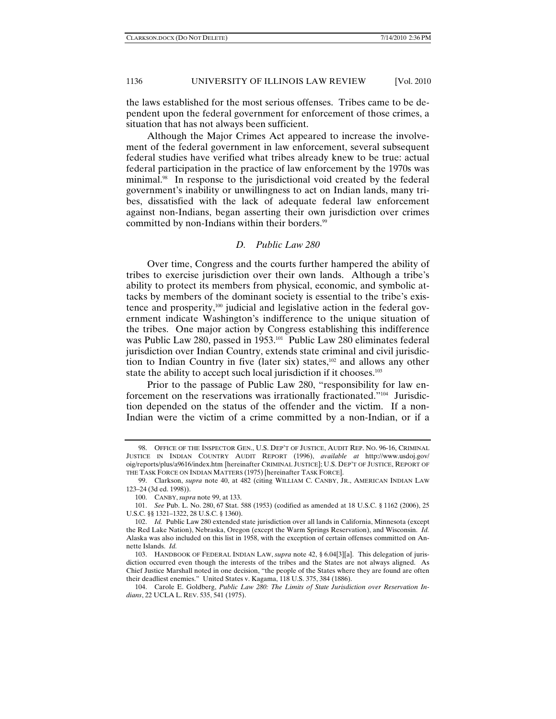the laws established for the most serious offenses. Tribes came to be dependent upon the federal government for enforcement of those crimes, a situation that has not always been sufficient.

Although the Major Crimes Act appeared to increase the involvement of the federal government in law enforcement, several subsequent federal studies have verified what tribes already knew to be true: actual federal participation in the practice of law enforcement by the 1970s was minimal.<sup>98</sup> In response to the jurisdictional void created by the federal government's inability or unwillingness to act on Indian lands, many tribes, dissatisfied with the lack of adequate federal law enforcement against non-Indians, began asserting their own jurisdiction over crimes committed by non-Indians within their borders.<sup>99</sup>

### *D. Public Law 280*

Over time, Congress and the courts further hampered the ability of tribes to exercise jurisdiction over their own lands. Although a tribe's ability to protect its members from physical, economic, and symbolic attacks by members of the dominant society is essential to the tribe's existence and prosperity,100 judicial and legislative action in the federal government indicate Washington's indifference to the unique situation of the tribes. One major action by Congress establishing this indifference was Public Law 280, passed in 1953.<sup>101</sup> Public Law 280 eliminates federal jurisdiction over Indian Country, extends state criminal and civil jurisdiction to Indian Country in five (later six) states, $102$  and allows any other state the ability to accept such local jurisdiction if it chooses.<sup>103</sup>

Prior to the passage of Public Law 280, "responsibility for law enforcement on the reservations was irrationally fractionated."104 Jurisdiction depended on the status of the offender and the victim. If a non-Indian were the victim of a crime committed by a non-Indian, or if a

 <sup>98.</sup> OFFICE OF THE INSPECTOR GEN., U.S. DEP'T OF JUSTICE, AUDIT REP. NO. 96-16, CRIMINAL JUSTICE IN INDIAN COUNTRY AUDIT REPORT (1996), *available at* http://www.usdoj.gov/ oig/reports/plus/a9616/index.htm [hereinafter CRIMINAL JUSTICE]; U.S. DEP'T OF JUSTICE, REPORT OF THE TASK FORCE ON INDIAN MATTERS (1975) [hereinafter TASK FORCE].

 <sup>99.</sup> Clarkson, *supra* note 40, at 482 (citing WILLIAM C. CANBY, JR., AMERICAN INDIAN LAW 123–24 (3d ed. 1998)).

 <sup>100.</sup> CANBY, *supra* note 99, at 133.

 <sup>101.</sup> *See* Pub. L. No. 280, 67 Stat. 588 (1953) (codified as amended at 18 U.S.C. § 1162 (2006), 25 U.S.C. §§ 1321–1322, 28 U.S.C. § 1360).

 <sup>102.</sup> *Id.* Public Law 280 extended state jurisdiction over all lands in California, Minnesota (except the Red Lake Nation), Nebraska, Oregon (except the Warm Springs Reservation), and Wisconsin. *Id.*  Alaska was also included on this list in 1958, with the exception of certain offenses committed on Annette Islands. *Id.* 

 <sup>103.</sup> HANDBOOK OF FEDERAL INDIAN LAW, *supra* note 42, § 6.04[3][a]. This delegation of jurisdiction occurred even though the interests of the tribes and the States are not always aligned. As Chief Justice Marshall noted in one decision, "the people of the States where they are found are often their deadliest enemies." United States v. Kagama, 118 U.S. 375, 384 (1886).

 <sup>104.</sup> Carole E. Goldberg, *Public Law 280: The Limits of State Jurisdiction over Reservation Indians*, 22 UCLA L. REV. 535, 541 (1975).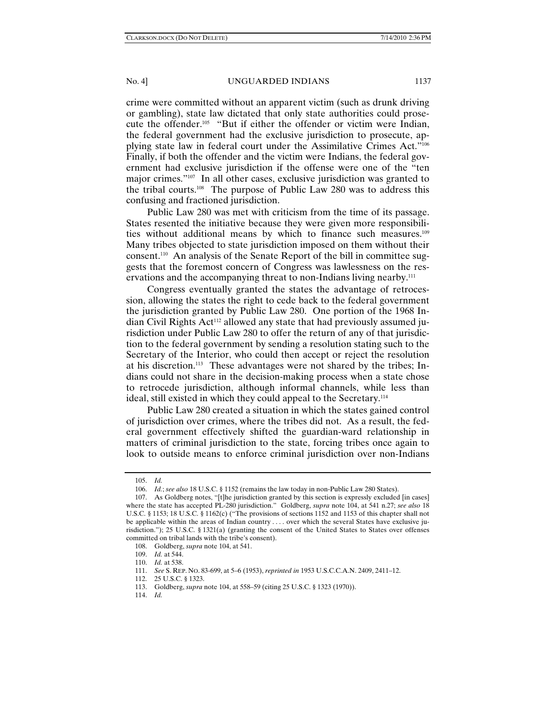crime were committed without an apparent victim (such as drunk driving or gambling), state law dictated that only state authorities could prosecute the offender.105 "But if either the offender or victim were Indian, the federal government had the exclusive jurisdiction to prosecute, applying state law in federal court under the Assimilative Crimes Act."106 Finally, if both the offender and the victim were Indians, the federal government had exclusive jurisdiction if the offense were one of the "ten major crimes."107 In all other cases, exclusive jurisdiction was granted to the tribal courts.108 The purpose of Public Law 280 was to address this confusing and fractioned jurisdiction.

Public Law 280 was met with criticism from the time of its passage. States resented the initiative because they were given more responsibilities without additional means by which to finance such measures.<sup>109</sup> Many tribes objected to state jurisdiction imposed on them without their consent.110 An analysis of the Senate Report of the bill in committee suggests that the foremost concern of Congress was lawlessness on the reservations and the accompanying threat to non-Indians living nearby.<sup>111</sup>

Congress eventually granted the states the advantage of retrocession, allowing the states the right to cede back to the federal government the jurisdiction granted by Public Law 280. One portion of the 1968 Indian Civil Rights Act<sup>112</sup> allowed any state that had previously assumed jurisdiction under Public Law 280 to offer the return of any of that jurisdiction to the federal government by sending a resolution stating such to the Secretary of the Interior, who could then accept or reject the resolution at his discretion.113 These advantages were not shared by the tribes; Indians could not share in the decision-making process when a state chose to retrocede jurisdiction, although informal channels, while less than ideal, still existed in which they could appeal to the Secretary.114

Public Law 280 created a situation in which the states gained control of jurisdiction over crimes, where the tribes did not. As a result, the federal government effectively shifted the guardian-ward relationship in matters of criminal jurisdiction to the state, forcing tribes once again to look to outside means to enforce criminal jurisdiction over non-Indians

 <sup>105.</sup> *Id.*

 <sup>106.</sup> *Id.*; *see also* 18 U.S.C. § 1152 (remains the law today in non-Public Law 280 States).

 <sup>107.</sup> As Goldberg notes, "[t]he jurisdiction granted by this section is expressly excluded [in cases] where the state has accepted PL-280 jurisdiction." Goldberg, *supra* note 104, at 541 n.27; *see also* 18 U.S.C. § 1153; 18 U.S.C. § 1162(c) ("The provisions of sections 1152 and 1153 of this chapter shall not be applicable within the areas of Indian country . . . . over which the several States have exclusive jurisdiction."); 25 U.S.C. § 1321(a) (granting the consent of the United States to States over offenses committed on tribal lands with the tribe's consent).

 <sup>108.</sup> Goldberg, *supra* note 104, at 541.

 <sup>109.</sup> *Id.* at 544.

 <sup>110.</sup> *Id.* at 538.

 <sup>111.</sup> *See* S. REP. NO. 83-699, at 5–6 (1953), *reprinted in* 1953 U.S.C.C.A.N. 2409, 2411–12.

 <sup>112. 25</sup> U.S.C. § 1323.

 <sup>113.</sup> Goldberg, *supra* note 104, at 558–59 (citing 25 U.S.C. § 1323 (1970)).

 <sup>114.</sup> *Id.*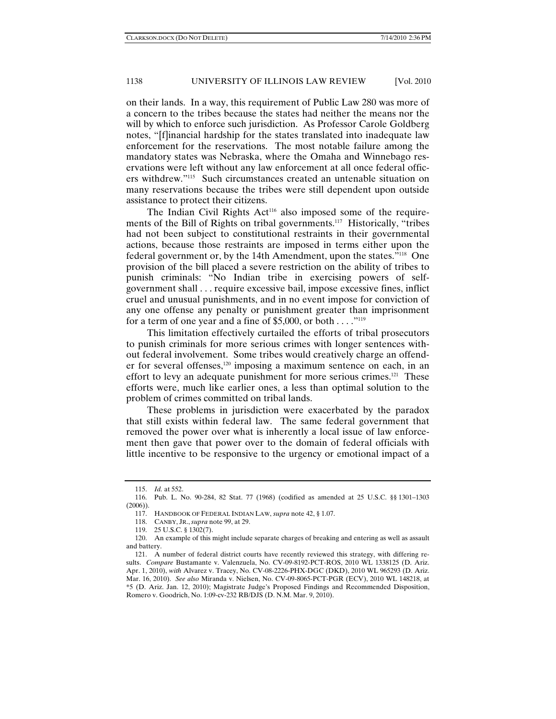on their lands. In a way, this requirement of Public Law 280 was more of a concern to the tribes because the states had neither the means nor the will by which to enforce such jurisdiction. As Professor Carole Goldberg notes, "[f]inancial hardship for the states translated into inadequate law enforcement for the reservations. The most notable failure among the mandatory states was Nebraska, where the Omaha and Winnebago reservations were left without any law enforcement at all once federal officers withdrew."115 Such circumstances created an untenable situation on many reservations because the tribes were still dependent upon outside assistance to protect their citizens.

The Indian Civil Rights Act<sup>116</sup> also imposed some of the requirements of the Bill of Rights on tribal governments.117 Historically, "tribes had not been subject to constitutional restraints in their governmental actions, because those restraints are imposed in terms either upon the federal government or, by the 14th Amendment, upon the states."118 One provision of the bill placed a severe restriction on the ability of tribes to punish criminals: "No Indian tribe in exercising powers of selfgovernment shall . . . require excessive bail, impose excessive fines, inflict cruel and unusual punishments, and in no event impose for conviction of any one offense any penalty or punishment greater than imprisonment for a term of one year and a fine of \$5,000, or both  $\dots$ ."<sup>119</sup>

This limitation effectively curtailed the efforts of tribal prosecutors to punish criminals for more serious crimes with longer sentences without federal involvement. Some tribes would creatively charge an offender for several offenses,120 imposing a maximum sentence on each, in an effort to levy an adequate punishment for more serious crimes.<sup>121</sup> These efforts were, much like earlier ones, a less than optimal solution to the problem of crimes committed on tribal lands.

These problems in jurisdiction were exacerbated by the paradox that still exists within federal law. The same federal government that removed the power over what is inherently a local issue of law enforcement then gave that power over to the domain of federal officials with little incentive to be responsive to the urgency or emotional impact of a

 <sup>115.</sup> *Id.* at 552.

 <sup>116.</sup> Pub. L. No. 90-284, 82 Stat. 77 (1968) (codified as amended at 25 U.S.C. §§ 1301–1303 (2006)).

 <sup>117.</sup> HANDBOOK OF FEDERAL INDIAN LAW, *supra* note 42, § 1.07.

 <sup>118.</sup> CANBY, JR., *supra* note 99, at 29.

 <sup>119. 25</sup> U.S.C. § 1302(7).

 <sup>120.</sup> An example of this might include separate charges of breaking and entering as well as assault and battery.

 <sup>121.</sup> A number of federal district courts have recently reviewed this strategy, with differing results. *Compare* Bustamante v. Valenzuela, No. CV-09-8192-PCT-ROS, 2010 WL 1338125 (D. Ariz. Apr. 1, 2010), *with* Alvarez v. Tracey, No. CV-08-2226-PHX-DGC (DKD), 2010 WL 965293 (D. Ariz. Mar. 16, 2010). *See also* Miranda v. Nielsen, No. CV-09-8065-PCT-PGR (ECV), 2010 WL 148218, at \*5 (D. Ariz. Jan. 12, 2010); Magistrate Judge's Proposed Findings and Recommended Disposition, Romero v. Goodrich, No. 1:09-cv-232 RB/DJS (D. N.M. Mar. 9, 2010).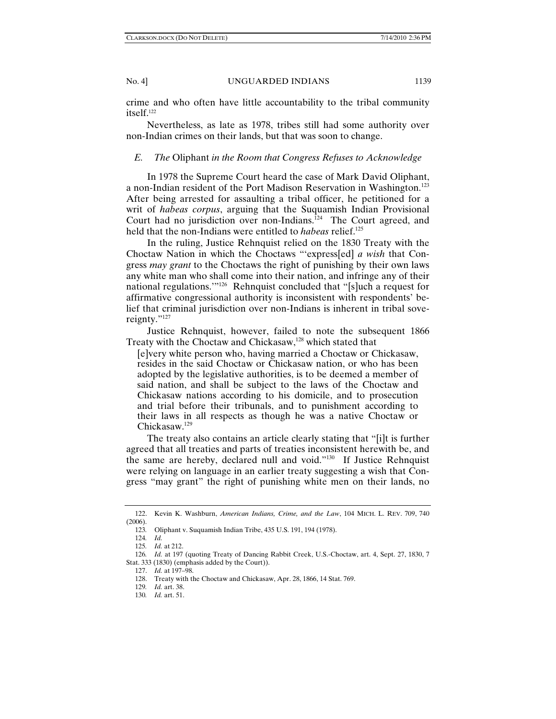crime and who often have little accountability to the tribal community itself.122

Nevertheless, as late as 1978, tribes still had some authority over non-Indian crimes on their lands, but that was soon to change.

#### *E. The* Oliphant *in the Room that Congress Refuses to Acknowledge*

In 1978 the Supreme Court heard the case of Mark David Oliphant, a non-Indian resident of the Port Madison Reservation in Washington.<sup>123</sup> After being arrested for assaulting a tribal officer, he petitioned for a writ of *habeas corpus*, arguing that the Suquamish Indian Provisional Court had no jurisdiction over non-Indians.<sup>124</sup> The Court agreed, and held that the non-Indians were entitled to *habeas* relief.<sup>125</sup>

In the ruling, Justice Rehnquist relied on the 1830 Treaty with the Choctaw Nation in which the Choctaws "'express[ed] *a wish* that Congress *may grant* to the Choctaws the right of punishing by their own laws any white man who shall come into their nation, and infringe any of their national regulations.'"126 Rehnquist concluded that "[s]uch a request for affirmative congressional authority is inconsistent with respondents' belief that criminal jurisdiction over non-Indians is inherent in tribal sovereignty."127

Justice Rehnquist, however, failed to note the subsequent 1866 Treaty with the Choctaw and Chickasaw,<sup>128</sup> which stated that

[e]very white person who, having married a Choctaw or Chickasaw, resides in the said Choctaw or Chickasaw nation, or who has been adopted by the legislative authorities, is to be deemed a member of said nation, and shall be subject to the laws of the Choctaw and Chickasaw nations according to his domicile, and to prosecution and trial before their tribunals, and to punishment according to their laws in all respects as though he was a native Choctaw or Chickasaw.129

The treaty also contains an article clearly stating that "[i]t is further agreed that all treaties and parts of treaties inconsistent herewith be, and the same are hereby, declared null and void."130 If Justice Rehnquist were relying on language in an earlier treaty suggesting a wish that Congress "may grant" the right of punishing white men on their lands, no

 <sup>122.</sup> Kevin K. Washburn, *American Indians, Crime, and the Law*, 104 MICH. L. REV. 709, 740 (2006).

<sup>123</sup>*.* Oliphant v. Suquamish Indian Tribe, 435 U.S. 191, 194 (1978).

<sup>124</sup>*. Id.*

<sup>125</sup>*. Id.* at 212.

<sup>126</sup>*. Id.* at 197 (quoting Treaty of Dancing Rabbit Creek, U.S.-Choctaw, art. 4, Sept. 27, 1830, 7 Stat. 333 (1830) (emphasis added by the Court)).

 <sup>127.</sup> *Id.* at 197–98.

 <sup>128.</sup> Treaty with the Choctaw and Chickasaw, Apr. 28, 1866, 14 Stat. 769.

<sup>129</sup>*. Id.* art. 38.

<sup>130</sup>*. Id.* art. 51.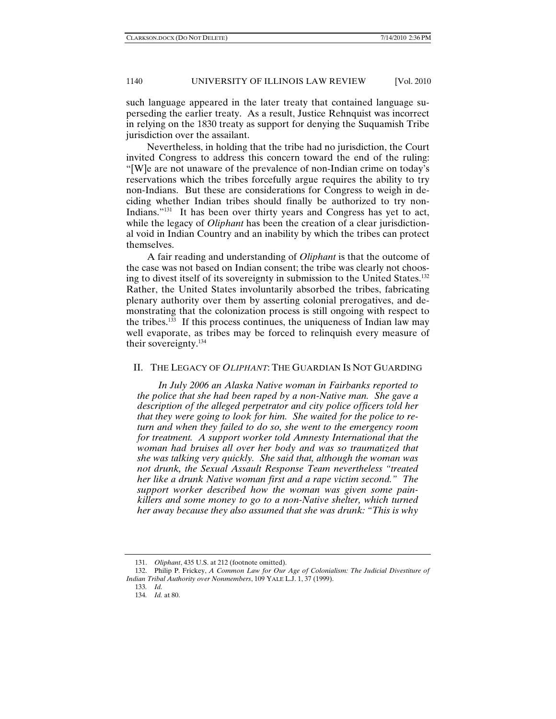such language appeared in the later treaty that contained language superseding the earlier treaty. As a result, Justice Rehnquist was incorrect in relying on the 1830 treaty as support for denying the Suquamish Tribe jurisdiction over the assailant.

Nevertheless, in holding that the tribe had no jurisdiction, the Court invited Congress to address this concern toward the end of the ruling: "[W]e are not unaware of the prevalence of non-Indian crime on today's reservations which the tribes forcefully argue requires the ability to try non-Indians. But these are considerations for Congress to weigh in deciding whether Indian tribes should finally be authorized to try non-Indians."<sup>131</sup> It has been over thirty years and Congress has yet to act, while the legacy of *Oliphant* has been the creation of a clear jurisdictional void in Indian Country and an inability by which the tribes can protect themselves.

A fair reading and understanding of *Oliphant* is that the outcome of the case was not based on Indian consent; the tribe was clearly not choosing to divest itself of its sovereignty in submission to the United States.132 Rather, the United States involuntarily absorbed the tribes, fabricating plenary authority over them by asserting colonial prerogatives, and demonstrating that the colonization process is still ongoing with respect to the tribes. $133$  If this process continues, the uniqueness of Indian law may well evaporate, as tribes may be forced to relinquish every measure of their sovereignty.134

# II. THE LEGACY OF *OLIPHANT*: THE GUARDIAN IS NOT GUARDING

*In July 2006 an Alaska Native woman in Fairbanks reported to the police that she had been raped by a non-Native man. She gave a description of the alleged perpetrator and city police officers told her that they were going to look for him. She waited for the police to return and when they failed to do so, she went to the emergency room for treatment. A support worker told Amnesty International that the woman had bruises all over her body and was so traumatized that she was talking very quickly. She said that, although the woman was not drunk, the Sexual Assault Response Team nevertheless "treated her like a drunk Native woman first and a rape victim second." The support worker described how the woman was given some painkillers and some money to go to a non-Native shelter, which turned her away because they also assumed that she was drunk: "This is why* 

 <sup>131.</sup> *Oliphant*, 435 U.S. at 212 (footnote omitted).

 <sup>132.</sup> Philip P. Frickey, *A Common Law for Our Age of Colonialism: The Judicial Divestiture of Indian Tribal Authority over Nonmembers*, 109 YALE L.J. 1, 37 (1999).

<sup>133</sup>*. Id.*

<sup>134</sup>*. Id.* at 80.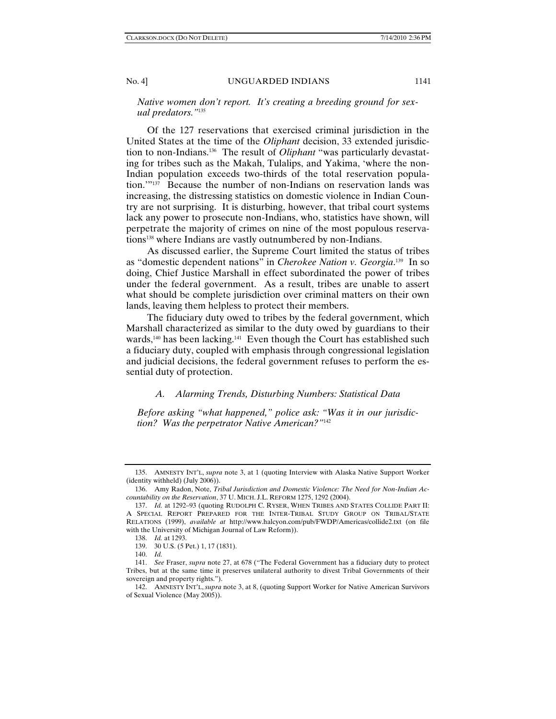#### *Native women don't report. It's creating a breeding ground for sexual predators."*<sup>135</sup>

Of the 127 reservations that exercised criminal jurisdiction in the United States at the time of the *Oliphant* decision, 33 extended jurisdiction to non-Indians.136 The result of *Oliphant* "was particularly devastating for tribes such as the Makah, Tulalips, and Yakima, 'where the non-Indian population exceeds two-thirds of the total reservation population.'"137 Because the number of non-Indians on reservation lands was increasing, the distressing statistics on domestic violence in Indian Country are not surprising. It is disturbing, however, that tribal court systems lack any power to prosecute non-Indians, who, statistics have shown, will perpetrate the majority of crimes on nine of the most populous reservations<sup>138</sup> where Indians are vastly outnumbered by non-Indians.

As discussed earlier, the Supreme Court limited the status of tribes as "domestic dependent nations" in *Cherokee Nation v. Georgia*. 139 In so doing, Chief Justice Marshall in effect subordinated the power of tribes under the federal government. As a result, tribes are unable to assert what should be complete jurisdiction over criminal matters on their own lands, leaving them helpless to protect their members.

The fiduciary duty owed to tribes by the federal government, which Marshall characterized as similar to the duty owed by guardians to their wards,<sup>140</sup> has been lacking.<sup>141</sup> Even though the Court has established such a fiduciary duty, coupled with emphasis through congressional legislation and judicial decisions, the federal government refuses to perform the essential duty of protection.

## *A. Alarming Trends, Disturbing Numbers: Statistical Data*

*Before asking "what happened," police ask: "Was it in our jurisdiction? Was the perpetrator Native American?"*<sup>142</sup>

 <sup>135.</sup> AMNESTY INT'L, *supra* note 3, at 1 (quoting Interview with Alaska Native Support Worker (identity withheld) (July 2006)).

 <sup>136.</sup> Amy Radon, Note, *Tribal Jurisdiction and Domestic Violence: The Need for Non-Indian Accountability on the Reservation*, 37 U. MICH. J.L. REFORM 1275, 1292 (2004).

 <sup>137.</sup> *Id.* at 1292–93 (quoting RUDOLPH C. RYSER, WHEN TRIBES AND STATES COLLIDE PART II: A SPECIAL REPORT PREPARED FOR THE INTER-TRIBAL STUDY GROUP ON TRIBAL/STATE RELATIONS (1999), *available at* http://www.halcyon.com/pub/FWDP/Americas/collide2.txt (on file with the University of Michigan Journal of Law Reform)).

 <sup>138.</sup> *Id.* at 1293. 139. 30 U.S. (5 Pet.) 1, 17 (1831).

 <sup>140.</sup> *Id.*

 <sup>141.</sup> *See* Fraser, *supra* note 27, at 678 ("The Federal Government has a fiduciary duty to protect Tribes, but at the same time it preserves unilateral authority to divest Tribal Governments of their sovereign and property rights.").

 <sup>142.</sup> AMNESTY INT'L, *supra* note 3, at 8, (quoting Support Worker for Native American Survivors of Sexual Violence (May 2005)).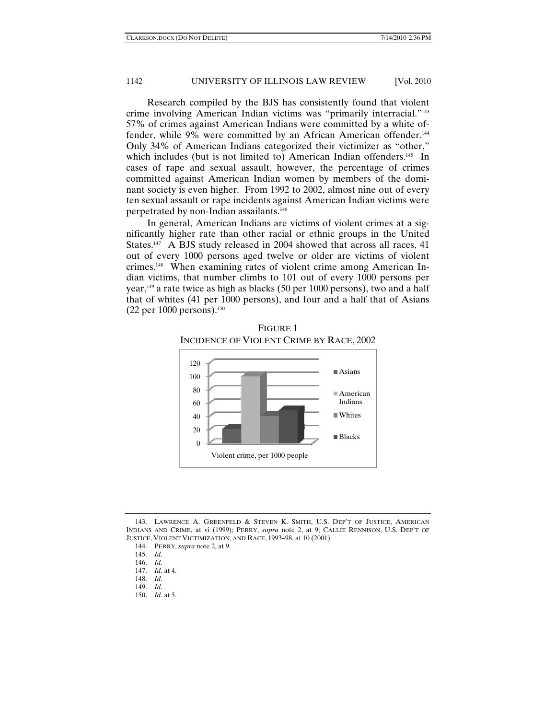Research compiled by the BJS has consistently found that violent crime involving American Indian victims was "primarily interracial."143 57% of crimes against American Indians were committed by a white offender, while 9% were committed by an African American offender.<sup>144</sup> Only 34% of American Indians categorized their victimizer as "other," which includes (but is not limited to) American Indian offenders.<sup>145</sup> In cases of rape and sexual assault, however, the percentage of crimes committed against American Indian women by members of the dominant society is even higher. From 1992 to 2002, almost nine out of every ten sexual assault or rape incidents against American Indian victims were perpetrated by non-Indian assailants.146

In general, American Indians are victims of violent crimes at a significantly higher rate than other racial or ethnic groups in the United States.<sup>147</sup> A BJS study released in 2004 showed that across all races, 41 out of every 1000 persons aged twelve or older are victims of violent crimes.148 When examining rates of violent crime among American Indian victims, that number climbs to 101 out of every 1000 persons per year,149 a rate twice as high as blacks (50 per 1000 persons), two and a half that of whites (41 per 1000 persons), and four and a half that of Asians  $(22 \text{ per } 1000 \text{ persons})$ .<sup>150</sup>



FIGURE 1 INCIDENCE OF VIOLENT CRIME BY RACE, 2002

 <sup>143.</sup> LAWRENCE A. GREENFELD & STEVEN K. SMITH, U.S. DEP'T OF JUSTICE, AMERICAN INDIANS AND CRIME, at vi (1999); PERRY, *supra* note 2, at 9; CALLIE RENNISON, U.S. DEP'T OF JUSTICE, VIOLENT VICTIMIZATION, AND RACE, 1993–98, at 10 (2001).

 <sup>144.</sup> PERRY, *supra* note 2, at 9.

 <sup>145.</sup> *Id.*

 <sup>146.</sup> *Id.* 

 <sup>147.</sup> *Id.* at 4.

 <sup>148.</sup> *Id.*

 <sup>149.</sup> *Id.*

 <sup>150.</sup> *Id.* at 5.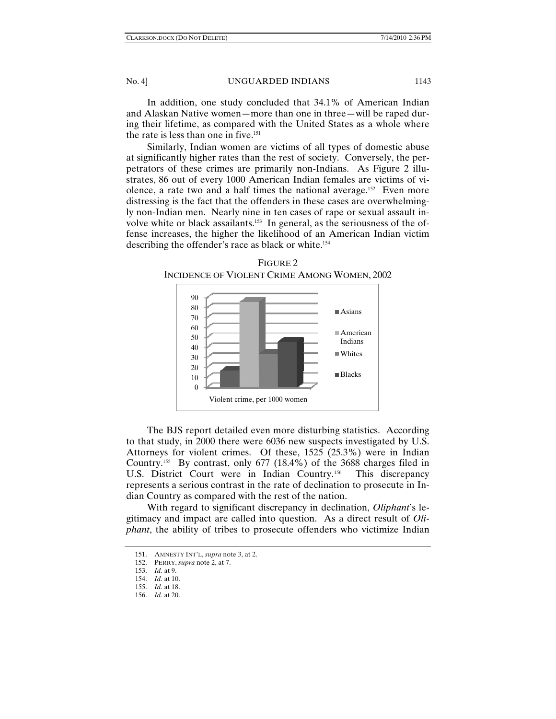In addition, one study concluded that 34.1% of American Indian and Alaskan Native women—more than one in three—will be raped during their lifetime, as compared with the United States as a whole where the rate is less than one in five.<sup>151</sup>

Similarly, Indian women are victims of all types of domestic abuse at significantly higher rates than the rest of society. Conversely, the perpetrators of these crimes are primarily non-Indians. As Figure 2 illustrates, 86 out of every 1000 American Indian females are victims of violence, a rate two and a half times the national average.152 Even more distressing is the fact that the offenders in these cases are overwhelmingly non-Indian men. Nearly nine in ten cases of rape or sexual assault involve white or black assailants.153 In general, as the seriousness of the offense increases, the higher the likelihood of an American Indian victim describing the offender's race as black or white.<sup>154</sup>

FIGURE 2



The BJS report detailed even more disturbing statistics. According to that study, in 2000 there were 6036 new suspects investigated by U.S. Attorneys for violent crimes. Of these, 1525 (25.3%) were in Indian Country.155 By contrast, only 677 (18.4%) of the 3688 charges filed in U.S. District Court were in Indian Country.<sup>156</sup> This discrepancy represents a serious contrast in the rate of declination to prosecute in Indian Country as compared with the rest of the nation.

With regard to significant discrepancy in declination, *Oliphant*'s legitimacy and impact are called into question. As a direct result of *Oliphant*, the ability of tribes to prosecute offenders who victimize Indian

<sup>151.</sup> AMNESTY INT'L, *supra* note 3, at 2.

 <sup>152.</sup> PERRY, *supra* note 2, at 7.

 <sup>153.</sup> *Id.* at 9.

 <sup>154.</sup> *Id.* at 10.

 <sup>155.</sup> *Id.* at 18.

 <sup>156.</sup> *Id.* at 20.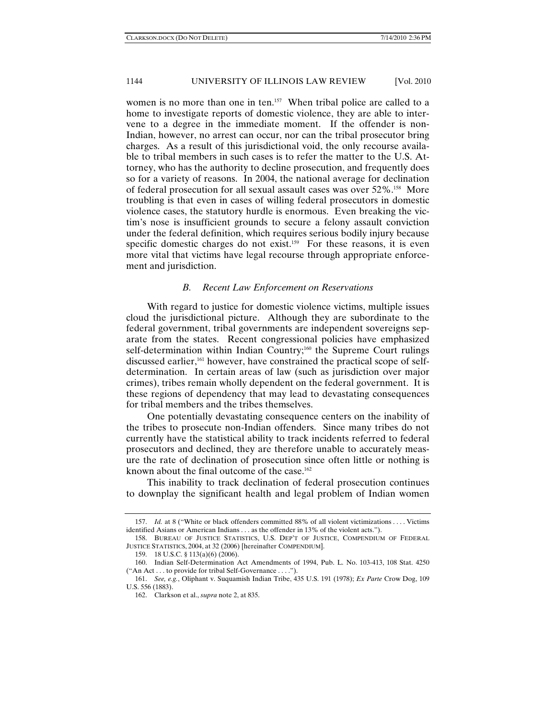women is no more than one in ten.<sup>157</sup> When tribal police are called to a home to investigate reports of domestic violence, they are able to intervene to a degree in the immediate moment. If the offender is non-Indian, however, no arrest can occur, nor can the tribal prosecutor bring charges. As a result of this jurisdictional void, the only recourse available to tribal members in such cases is to refer the matter to the U.S. Attorney, who has the authority to decline prosecution, and frequently does so for a variety of reasons. In 2004, the national average for declination of federal prosecution for all sexual assault cases was over 52%.158 More troubling is that even in cases of willing federal prosecutors in domestic violence cases, the statutory hurdle is enormous. Even breaking the victim's nose is insufficient grounds to secure a felony assault conviction under the federal definition, which requires serious bodily injury because specific domestic charges do not exist.<sup>159</sup> For these reasons, it is even more vital that victims have legal recourse through appropriate enforcement and jurisdiction.

#### *B. Recent Law Enforcement on Reservations*

With regard to justice for domestic violence victims, multiple issues cloud the jurisdictional picture. Although they are subordinate to the federal government, tribal governments are independent sovereigns separate from the states. Recent congressional policies have emphasized self-determination within Indian Country;<sup>160</sup> the Supreme Court rulings discussed earlier,<sup>161</sup> however, have constrained the practical scope of selfdetermination. In certain areas of law (such as jurisdiction over major crimes), tribes remain wholly dependent on the federal government. It is these regions of dependency that may lead to devastating consequences for tribal members and the tribes themselves.

One potentially devastating consequence centers on the inability of the tribes to prosecute non-Indian offenders. Since many tribes do not currently have the statistical ability to track incidents referred to federal prosecutors and declined, they are therefore unable to accurately measure the rate of declination of prosecution since often little or nothing is known about the final outcome of the case.<sup>162</sup>

This inability to track declination of federal prosecution continues to downplay the significant health and legal problem of Indian women

 <sup>157.</sup> *Id.* at 8 ("White or black offenders committed 88% of all violent victimizations . . . . Victims identified Asians or American Indians . . . as the offender in 13% of the violent acts.").

 <sup>158.</sup> BUREAU OF JUSTICE STATISTICS, U.S. DEP'T OF JUSTICE, COMPENDIUM OF FEDERAL JUSTICE STATISTICS, 2004, at 32 (2006) [hereinafter COMPENDIUM].

 <sup>159. 18</sup> U.S.C. § 113(a)(6) (2006).

 <sup>160.</sup> Indian Self-Determination Act Amendments of 1994, Pub. L. No. 103-413, 108 Stat. 4250 ("An Act . . . to provide for tribal Self-Governance . . . .").

 <sup>161.</sup> *See, e.g.*, Oliphant v. Suquamish Indian Tribe, 435 U.S. 191 (1978); *Ex Parte* Crow Dog, 109 U.S. 556 (1883).

 <sup>162.</sup> Clarkson et al., *supra* note 2, at 835.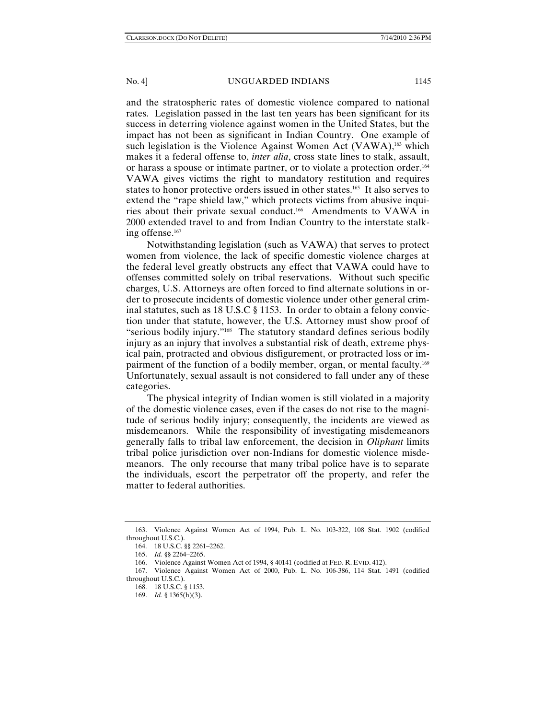and the stratospheric rates of domestic violence compared to national rates. Legislation passed in the last ten years has been significant for its success in deterring violence against women in the United States, but the impact has not been as significant in Indian Country. One example of such legislation is the Violence Against Women Act (VAWA),<sup>163</sup> which makes it a federal offense to, *inter alia*, cross state lines to stalk, assault, or harass a spouse or intimate partner, or to violate a protection order.164 VAWA gives victims the right to mandatory restitution and requires states to honor protective orders issued in other states.165 It also serves to extend the "rape shield law," which protects victims from abusive inquiries about their private sexual conduct.166 Amendments to VAWA in 2000 extended travel to and from Indian Country to the interstate stalking offense.167

Notwithstanding legislation (such as VAWA) that serves to protect women from violence, the lack of specific domestic violence charges at the federal level greatly obstructs any effect that VAWA could have to offenses committed solely on tribal reservations. Without such specific charges, U.S. Attorneys are often forced to find alternate solutions in order to prosecute incidents of domestic violence under other general criminal statutes, such as 18 U.S.C § 1153. In order to obtain a felony conviction under that statute, however, the U.S. Attorney must show proof of "serious bodily injury."168 The statutory standard defines serious bodily injury as an injury that involves a substantial risk of death, extreme physical pain, protracted and obvious disfigurement, or protracted loss or impairment of the function of a bodily member, organ, or mental faculty.<sup>169</sup> Unfortunately, sexual assault is not considered to fall under any of these categories.

The physical integrity of Indian women is still violated in a majority of the domestic violence cases, even if the cases do not rise to the magnitude of serious bodily injury; consequently, the incidents are viewed as misdemeanors. While the responsibility of investigating misdemeanors generally falls to tribal law enforcement, the decision in *Oliphant* limits tribal police jurisdiction over non-Indians for domestic violence misdemeanors. The only recourse that many tribal police have is to separate the individuals, escort the perpetrator off the property, and refer the matter to federal authorities.

 <sup>163.</sup> Violence Against Women Act of 1994, Pub. L. No. 103-322, 108 Stat. 1902 (codified throughout U.S.C.).

 <sup>164. 18</sup> U.S.C. §§ 2261–2262.

 <sup>165.</sup> *Id.* §§ 2264–2265.

 <sup>166.</sup> Violence Against Women Act of 1994, § 40141 (codified at FED. R. EVID. 412).

 <sup>167.</sup> Violence Against Women Act of 2000, Pub. L. No. 106-386, 114 Stat. 1491 (codified throughout U.S.C.).

 <sup>168. 18</sup> U.S.C. § 1153.

 <sup>169.</sup> *Id.* § 1365(h)(3).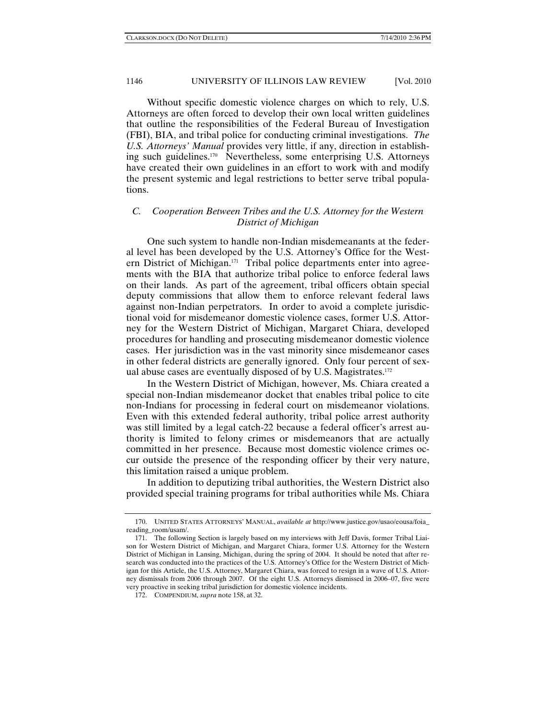Without specific domestic violence charges on which to rely, U.S. Attorneys are often forced to develop their own local written guidelines that outline the responsibilities of the Federal Bureau of Investigation (FBI), BIA, and tribal police for conducting criminal investigations. *The U.S. Attorneys' Manual* provides very little, if any, direction in establishing such guidelines.170 Nevertheless, some enterprising U.S. Attorneys have created their own guidelines in an effort to work with and modify the present systemic and legal restrictions to better serve tribal populations.

# *C. Cooperation Between Tribes and the U.S. Attorney for the Western District of Michigan*

One such system to handle non-Indian misdemeanants at the federal level has been developed by the U.S. Attorney's Office for the Western District of Michigan.171 Tribal police departments enter into agreements with the BIA that authorize tribal police to enforce federal laws on their lands. As part of the agreement, tribal officers obtain special deputy commissions that allow them to enforce relevant federal laws against non-Indian perpetrators. In order to avoid a complete jurisdictional void for misdemeanor domestic violence cases, former U.S. Attorney for the Western District of Michigan, Margaret Chiara, developed procedures for handling and prosecuting misdemeanor domestic violence cases. Her jurisdiction was in the vast minority since misdemeanor cases in other federal districts are generally ignored. Only four percent of sexual abuse cases are eventually disposed of by U.S. Magistrates.172

In the Western District of Michigan, however, Ms. Chiara created a special non-Indian misdemeanor docket that enables tribal police to cite non-Indians for processing in federal court on misdemeanor violations. Even with this extended federal authority, tribal police arrest authority was still limited by a legal catch-22 because a federal officer's arrest authority is limited to felony crimes or misdemeanors that are actually committed in her presence. Because most domestic violence crimes occur outside the presence of the responding officer by their very nature, this limitation raised a unique problem.

In addition to deputizing tribal authorities, the Western District also provided special training programs for tribal authorities while Ms. Chiara

 <sup>170.</sup> UNITED STATES ATTORNEYS' MANUAL, *available at* http://www.justice.gov/usao/eousa/foia\_ reading\_room/usam/.

 <sup>171.</sup> The following Section is largely based on my interviews with Jeff Davis, former Tribal Liaison for Western District of Michigan, and Margaret Chiara, former U.S. Attorney for the Western District of Michigan in Lansing, Michigan, during the spring of 2004. It should be noted that after research was conducted into the practices of the U.S. Attorney's Office for the Western District of Michigan for this Article, the U.S. Attorney, Margaret Chiara, was forced to resign in a wave of U.S. Attorney dismissals from 2006 through 2007. Of the eight U.S. Attorneys dismissed in 2006–07, five were very proactive in seeking tribal jurisdiction for domestic violence incidents.

 <sup>172.</sup> COMPENDIUM, *supra* note 158, at 32.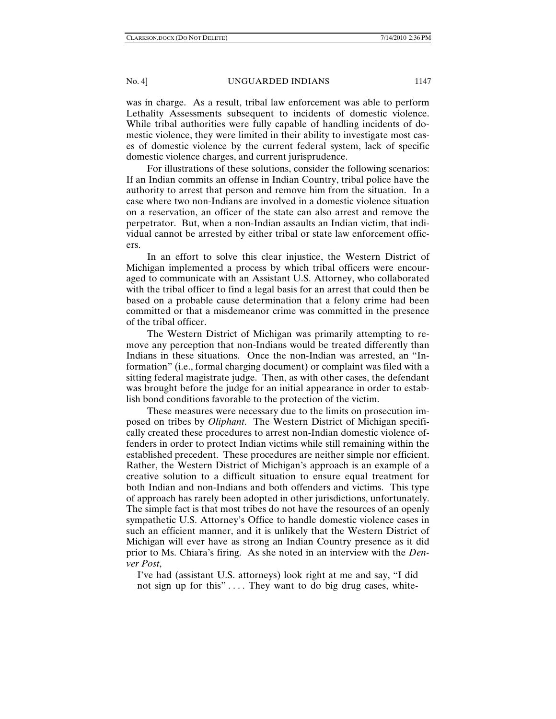was in charge. As a result, tribal law enforcement was able to perform Lethality Assessments subsequent to incidents of domestic violence. While tribal authorities were fully capable of handling incidents of domestic violence, they were limited in their ability to investigate most cases of domestic violence by the current federal system, lack of specific domestic violence charges, and current jurisprudence.

For illustrations of these solutions, consider the following scenarios: If an Indian commits an offense in Indian Country, tribal police have the authority to arrest that person and remove him from the situation. In a case where two non-Indians are involved in a domestic violence situation on a reservation, an officer of the state can also arrest and remove the perpetrator. But, when a non-Indian assaults an Indian victim, that individual cannot be arrested by either tribal or state law enforcement officers.

In an effort to solve this clear injustice, the Western District of Michigan implemented a process by which tribal officers were encouraged to communicate with an Assistant U.S. Attorney, who collaborated with the tribal officer to find a legal basis for an arrest that could then be based on a probable cause determination that a felony crime had been committed or that a misdemeanor crime was committed in the presence of the tribal officer.

The Western District of Michigan was primarily attempting to remove any perception that non-Indians would be treated differently than Indians in these situations. Once the non-Indian was arrested, an "Information" (i.e., formal charging document) or complaint was filed with a sitting federal magistrate judge. Then, as with other cases, the defendant was brought before the judge for an initial appearance in order to establish bond conditions favorable to the protection of the victim.

These measures were necessary due to the limits on prosecution imposed on tribes by *Oliphant*. The Western District of Michigan specifically created these procedures to arrest non-Indian domestic violence offenders in order to protect Indian victims while still remaining within the established precedent. These procedures are neither simple nor efficient. Rather, the Western District of Michigan's approach is an example of a creative solution to a difficult situation to ensure equal treatment for both Indian and non-Indians and both offenders and victims. This type of approach has rarely been adopted in other jurisdictions, unfortunately. The simple fact is that most tribes do not have the resources of an openly sympathetic U.S. Attorney's Office to handle domestic violence cases in such an efficient manner, and it is unlikely that the Western District of Michigan will ever have as strong an Indian Country presence as it did prior to Ms. Chiara's firing. As she noted in an interview with the *Denver Post*,

I've had (assistant U.S. attorneys) look right at me and say, "I did not sign up for this" .... They want to do big drug cases, white-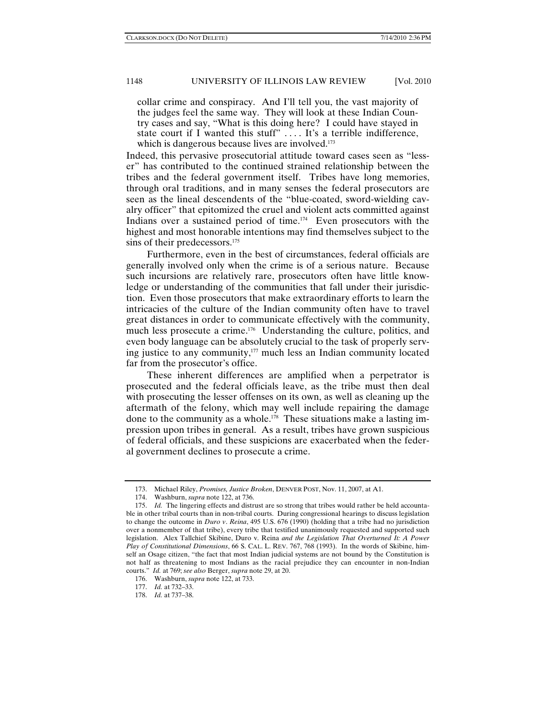collar crime and conspiracy. And I'll tell you, the vast majority of the judges feel the same way. They will look at these Indian Country cases and say, "What is this doing here? I could have stayed in state court if I wanted this stuff" .... It's a terrible indifference, which is dangerous because lives are involved.<sup>173</sup>

Indeed, this pervasive prosecutorial attitude toward cases seen as "lesser" has contributed to the continued strained relationship between the tribes and the federal government itself. Tribes have long memories, through oral traditions, and in many senses the federal prosecutors are seen as the lineal descendents of the "blue-coated, sword-wielding cavalry officer" that epitomized the cruel and violent acts committed against Indians over a sustained period of time.174 Even prosecutors with the highest and most honorable intentions may find themselves subject to the sins of their predecessors.<sup>175</sup>

Furthermore, even in the best of circumstances, federal officials are generally involved only when the crime is of a serious nature. Because such incursions are relatively rare, prosecutors often have little knowledge or understanding of the communities that fall under their jurisdiction. Even those prosecutors that make extraordinary efforts to learn the intricacies of the culture of the Indian community often have to travel great distances in order to communicate effectively with the community, much less prosecute a crime.176 Understanding the culture, politics, and even body language can be absolutely crucial to the task of properly serving justice to any community, $177$  much less an Indian community located far from the prosecutor's office.

These inherent differences are amplified when a perpetrator is prosecuted and the federal officials leave, as the tribe must then deal with prosecuting the lesser offenses on its own, as well as cleaning up the aftermath of the felony, which may well include repairing the damage done to the community as a whole.<sup>178</sup> These situations make a lasting impression upon tribes in general. As a result, tribes have grown suspicious of federal officials, and these suspicions are exacerbated when the federal government declines to prosecute a crime.

 <sup>173.</sup> Michael Riley, *Promises, Justice Broken*, DENVER POST, Nov. 11, 2007, at A1.

 <sup>174.</sup> Washburn, *supra* note 122, at 736.

 <sup>175.</sup> *Id.* The lingering effects and distrust are so strong that tribes would rather be held accountable in other tribal courts than in non-tribal courts. During congressional hearings to discuss legislation to change the outcome in *Duro v*. *Reina*, 495 U.S. 676 (1990) (holding that a tribe had no jurisdiction over a nonmember of that tribe), every tribe that testified unanimously requested and supported such legislation. Alex Tallchief Skibine, Duro v. Reina *and the Legislation That Overturned It: A Power Play of Constitutional Dimensions*, 66 S. CAL. L. REV. 767, 768 (1993). In the words of Skibine, himself an Osage citizen, "the fact that most Indian judicial systems are not bound by the Constitution is not half as threatening to most Indians as the racial prejudice they can encounter in non-Indian courts." *Id.* at 769; *see also* Berger, *supra* note 29, at 20.

 <sup>176.</sup> Washburn, *supra* note 122, at 733.

 <sup>177.</sup> *Id.* at 732–33.

 <sup>178.</sup> *Id.* at 737–38.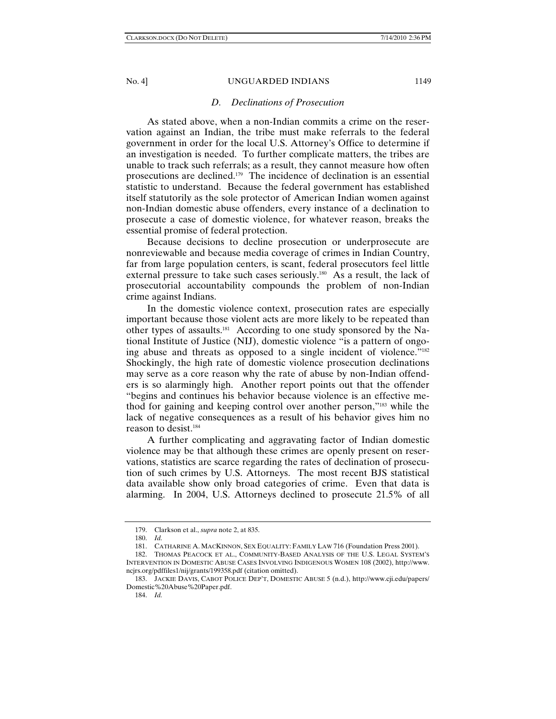#### *D. Declinations of Prosecution*

As stated above, when a non-Indian commits a crime on the reservation against an Indian, the tribe must make referrals to the federal government in order for the local U.S. Attorney's Office to determine if an investigation is needed. To further complicate matters, the tribes are unable to track such referrals; as a result, they cannot measure how often prosecutions are declined.179 The incidence of declination is an essential statistic to understand. Because the federal government has established itself statutorily as the sole protector of American Indian women against non-Indian domestic abuse offenders, every instance of a declination to prosecute a case of domestic violence, for whatever reason, breaks the essential promise of federal protection.

Because decisions to decline prosecution or underprosecute are nonreviewable and because media coverage of crimes in Indian Country, far from large population centers, is scant, federal prosecutors feel little external pressure to take such cases seriously.<sup>180</sup> As a result, the lack of prosecutorial accountability compounds the problem of non-Indian crime against Indians.

In the domestic violence context, prosecution rates are especially important because those violent acts are more likely to be repeated than other types of assaults.181 According to one study sponsored by the National Institute of Justice (NIJ), domestic violence "is a pattern of ongoing abuse and threats as opposed to a single incident of violence."182 Shockingly, the high rate of domestic violence prosecution declinations may serve as a core reason why the rate of abuse by non-Indian offenders is so alarmingly high. Another report points out that the offender "begins and continues his behavior because violence is an effective method for gaining and keeping control over another person,"183 while the lack of negative consequences as a result of his behavior gives him no reason to desist.184

A further complicating and aggravating factor of Indian domestic violence may be that although these crimes are openly present on reservations, statistics are scarce regarding the rates of declination of prosecution of such crimes by U.S. Attorneys. The most recent BJS statistical data available show only broad categories of crime. Even that data is alarming. In 2004, U.S. Attorneys declined to prosecute 21.5% of all

 <sup>179.</sup> Clarkson et al., *supra* note 2, at 835.

 <sup>180.</sup> *Id.*

 <sup>181.</sup> CATHARINE A. MACKINNON, SEX EQUALITY: FAMILY LAW 716 (Foundation Press 2001).

 <sup>182.</sup> THOMAS PEACOCK ET AL., COMMUNITY-BASED ANALYSIS OF THE U.S. LEGAL SYSTEM'S INTERVENTION IN DOMESTIC ABUSE CASES INVOLVING INDIGENOUS WOMEN 108 (2002), http://www. ncjrs.org/pdffiles1/nij/grants/199358.pdf (citation omitted).

 <sup>183.</sup> JACKIE DAVIS, CABOT POLICE DEP'T, DOMESTIC ABUSE 5 (n.d.), http://www.cji.edu/papers/ Domestic%20Abuse%20Paper.pdf.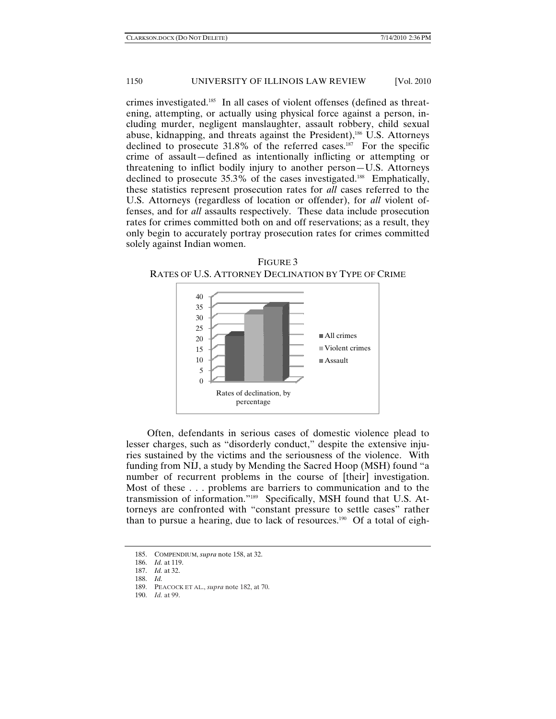crimes investigated.185 In all cases of violent offenses (defined as threatening, attempting, or actually using physical force against a person, including murder, negligent manslaughter, assault robbery, child sexual abuse, kidnapping, and threats against the President),<sup>186</sup> U.S. Attorneys declined to prosecute  $31.8\%$  of the referred cases.<sup>187</sup> For the specific crime of assault—defined as intentionally inflicting or attempting or threatening to inflict bodily injury to another person—U.S. Attorneys declined to prosecute 35.3% of the cases investigated.<sup>188</sup> Emphatically, these statistics represent prosecution rates for *all* cases referred to the U.S. Attorneys (regardless of location or offender), for *all* violent offenses, and for *all* assaults respectively. These data include prosecution rates for crimes committed both on and off reservations; as a result, they only begin to accurately portray prosecution rates for crimes committed solely against Indian women.





Often, defendants in serious cases of domestic violence plead to lesser charges, such as "disorderly conduct," despite the extensive injuries sustained by the victims and the seriousness of the violence. With funding from NIJ, a study by Mending the Sacred Hoop (MSH) found "a number of recurrent problems in the course of [their] investigation. Most of these . . . problems are barriers to communication and to the transmission of information."189 Specifically, MSH found that U.S. Attorneys are confronted with "constant pressure to settle cases" rather than to pursue a hearing, due to lack of resources.<sup>190</sup> Of a total of eigh-

 <sup>185.</sup> COMPENDIUM, *supra* note 158, at 32.

 <sup>186.</sup> *Id.* at 119.

 <sup>187.</sup> *Id.* at 32.

 <sup>188.</sup> *Id.*

<sup>189.</sup> PEACOCK ET AL., *supra* note 182, at 70.

<sup>190.</sup> *Id.* at 99.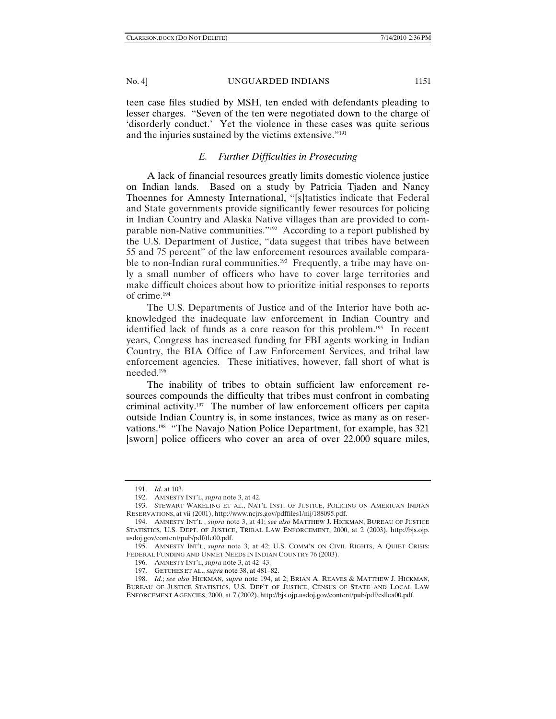teen case files studied by MSH, ten ended with defendants pleading to lesser charges. "Seven of the ten were negotiated down to the charge of 'disorderly conduct.' Yet the violence in these cases was quite serious and the injuries sustained by the victims extensive."191

## *E. Further Difficulties in Prosecuting*

A lack of financial resources greatly limits domestic violence justice on Indian lands. Based on a study by Patricia Tjaden and Nancy Thoennes for Amnesty International, "[s]tatistics indicate that Federal and State governments provide significantly fewer resources for policing in Indian Country and Alaska Native villages than are provided to comparable non-Native communities."192 According to a report published by the U.S. Department of Justice, "data suggest that tribes have between 55 and 75 percent" of the law enforcement resources available comparable to non-Indian rural communities.<sup>193</sup> Frequently, a tribe may have only a small number of officers who have to cover large territories and make difficult choices about how to prioritize initial responses to reports of crime.194

The U.S. Departments of Justice and of the Interior have both acknowledged the inadequate law enforcement in Indian Country and identified lack of funds as a core reason for this problem.195 In recent years, Congress has increased funding for FBI agents working in Indian Country, the BIA Office of Law Enforcement Services, and tribal law enforcement agencies. These initiatives, however, fall short of what is needed.196

The inability of tribes to obtain sufficient law enforcement resources compounds the difficulty that tribes must confront in combating criminal activity.197 The number of law enforcement officers per capita outside Indian Country is, in some instances, twice as many as on reservations.198 "The Navajo Nation Police Department, for example, has 321 [sworn] police officers who cover an area of over 22,000 square miles,

 <sup>191.</sup> *Id.* at 103.

<sup>192.</sup> AMNESTY INT'L, *supra* note 3, at 42.

<sup>193.</sup> STEWART WAKELING ET AL., NAT'L INST. OF JUSTICE, POLICING ON AMERICAN INDIAN RESERVATIONS, at vii (2001), http://www.ncjrs.gov/pdffiles1/nij/188095.pdf.

<sup>194.</sup> AMNESTY INT'L , *supra* note 3, at 41; *see also* MATTHEW J. HICKMAN, BUREAU OF JUSTICE STATISTICS, U.S. DEPT. OF JUSTICE, TRIBAL LAW ENFORCEMENT, 2000, at 2 (2003), http://bjs.ojp. usdoj.gov/content/pub/pdf/tle00.pdf.

<sup>195.</sup> AMNESTY INT'L, *supra* note 3, at 42; U.S. COMM'N ON CIVIL RIGHTS, A QUIET CRISIS: FEDERAL FUNDING AND UNMET NEEDS IN INDIAN COUNTRY 76 (2003).

<sup>196.</sup> AMNESTY INT'L, *supra* note 3, at 42–43.

 <sup>197.</sup> GETCHES ET AL., *supra* note 38, at 481–82.

 <sup>198.</sup> *Id.*; *see also* HICKMAN, *supra* note 194, at 2; BRIAN A. REAVES & MATTHEW J. HICKMAN, BUREAU OF JUSTICE STATISTICS, U.S. DEP'T OF JUSTICE, CENSUS OF STATE AND LOCAL LAW ENFORCEMENT AGENCIES, 2000, at 7 (2002), http://bjs.ojp.usdoj.gov/content/pub/pdf/csllea00.pdf.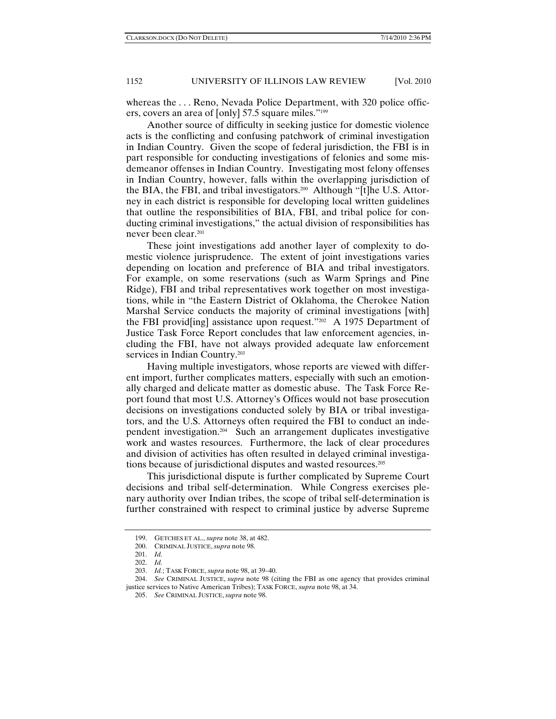whereas the . . . Reno, Nevada Police Department, with 320 police officers, covers an area of [only] 57.5 square miles."199

Another source of difficulty in seeking justice for domestic violence acts is the conflicting and confusing patchwork of criminal investigation in Indian Country. Given the scope of federal jurisdiction, the FBI is in part responsible for conducting investigations of felonies and some misdemeanor offenses in Indian Country. Investigating most felony offenses in Indian Country, however, falls within the overlapping jurisdiction of the BIA, the FBI, and tribal investigators.200 Although "[t]he U.S. Attorney in each district is responsible for developing local written guidelines that outline the responsibilities of BIA, FBI, and tribal police for conducting criminal investigations," the actual division of responsibilities has never been clear.201

These joint investigations add another layer of complexity to domestic violence jurisprudence. The extent of joint investigations varies depending on location and preference of BIA and tribal investigators. For example, on some reservations (such as Warm Springs and Pine Ridge), FBI and tribal representatives work together on most investigations, while in "the Eastern District of Oklahoma, the Cherokee Nation Marshal Service conducts the majority of criminal investigations [with] the FBI provid [ing] assistance upon request."<sup>202</sup> A 1975 Department of Justice Task Force Report concludes that law enforcement agencies, including the FBI, have not always provided adequate law enforcement services in Indian Country.<sup>203</sup>

Having multiple investigators, whose reports are viewed with different import, further complicates matters, especially with such an emotionally charged and delicate matter as domestic abuse. The Task Force Report found that most U.S. Attorney's Offices would not base prosecution decisions on investigations conducted solely by BIA or tribal investigators, and the U.S. Attorneys often required the FBI to conduct an independent investigation.204 Such an arrangement duplicates investigative work and wastes resources. Furthermore, the lack of clear procedures and division of activities has often resulted in delayed criminal investigations because of jurisdictional disputes and wasted resources.205

This jurisdictional dispute is further complicated by Supreme Court decisions and tribal self-determination. While Congress exercises plenary authority over Indian tribes, the scope of tribal self-determination is further constrained with respect to criminal justice by adverse Supreme

 <sup>199.</sup> GETCHES ET AL., *supra* note 38, at 482.

 <sup>200.</sup> CRIMINAL JUSTICE, *supra* note 98.

 <sup>201.</sup> *Id.*

 <sup>202.</sup> *Id.*

 <sup>203.</sup> *Id.*; TASK FORCE, *supra* note 98, at 39–40.

 <sup>204.</sup> *See* CRIMINAL JUSTICE, *supra* note 98 (citing the FBI as one agency that provides criminal justice services to Native American Tribes); TASK FORCE, *supra* note 98, at 34.

 <sup>205.</sup> *See* CRIMINAL JUSTICE, *supra* note 98.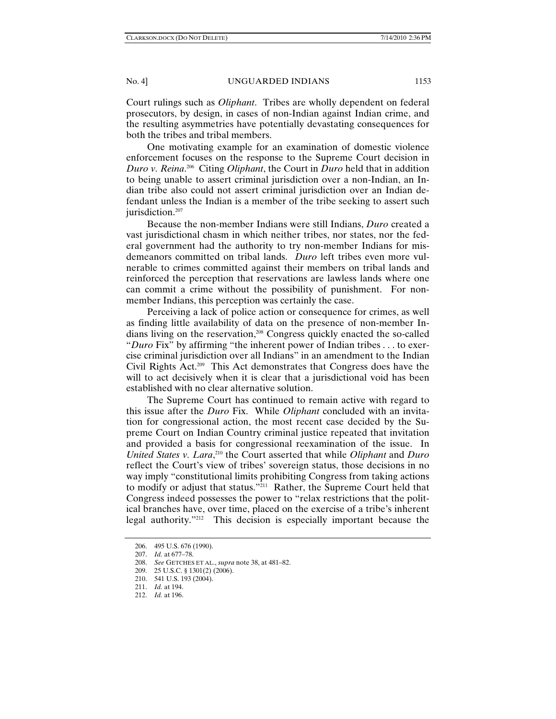Court rulings such as *Oliphant*. Tribes are wholly dependent on federal prosecutors, by design, in cases of non-Indian against Indian crime, and the resulting asymmetries have potentially devastating consequences for both the tribes and tribal members.

One motivating example for an examination of domestic violence enforcement focuses on the response to the Supreme Court decision in *Duro v. Reina*. 206 Citing *Oliphant*, the Court in *Duro* held that in addition to being unable to assert criminal jurisdiction over a non-Indian, an Indian tribe also could not assert criminal jurisdiction over an Indian defendant unless the Indian is a member of the tribe seeking to assert such jurisdiction.<sup>207</sup>

Because the non-member Indians were still Indians, *Duro* created a vast jurisdictional chasm in which neither tribes, nor states, nor the federal government had the authority to try non-member Indians for misdemeanors committed on tribal lands. *Duro* left tribes even more vulnerable to crimes committed against their members on tribal lands and reinforced the perception that reservations are lawless lands where one can commit a crime without the possibility of punishment. For nonmember Indians, this perception was certainly the case.

Perceiving a lack of police action or consequence for crimes, as well as finding little availability of data on the presence of non-member Indians living on the reservation,208 Congress quickly enacted the so-called "*Duro* Fix" by affirming "the inherent power of Indian tribes . . . to exercise criminal jurisdiction over all Indians" in an amendment to the Indian Civil Rights Act.209 This Act demonstrates that Congress does have the will to act decisively when it is clear that a jurisdictional void has been established with no clear alternative solution.

The Supreme Court has continued to remain active with regard to this issue after the *Duro* Fix. While *Oliphant* concluded with an invitation for congressional action, the most recent case decided by the Supreme Court on Indian Country criminal justice repeated that invitation and provided a basis for congressional reexamination of the issue. In *United States v. Lara*,<sup>210</sup> the Court asserted that while *Oliphant* and *Duro* reflect the Court's view of tribes' sovereign status, those decisions in no way imply "constitutional limits prohibiting Congress from taking actions to modify or adjust that status."211 Rather, the Supreme Court held that Congress indeed possesses the power to "relax restrictions that the political branches have, over time, placed on the exercise of a tribe's inherent legal authority."212 This decision is especially important because the

 <sup>206. 495</sup> U.S. 676 (1990).

 <sup>207.</sup> *Id.* at 677–78.

 <sup>208.</sup> *See* GETCHES ET AL., *supra* note 38, at 481–82.

 <sup>209. 25</sup> U.S.C. § 1301(2) (2006).

 <sup>210. 541</sup> U.S. 193 (2004).

 <sup>211.</sup> *Id.* at 194.

 <sup>212.</sup> *Id.* at 196.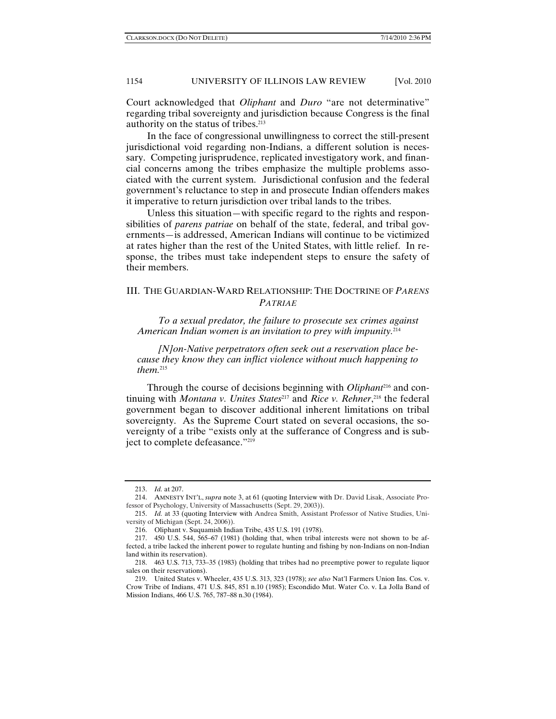Court acknowledged that *Oliphant* and *Duro* "are not determinative" regarding tribal sovereignty and jurisdiction because Congress is the final authority on the status of tribes.213

In the face of congressional unwillingness to correct the still-present jurisdictional void regarding non-Indians, a different solution is necessary. Competing jurisprudence, replicated investigatory work, and financial concerns among the tribes emphasize the multiple problems associated with the current system. Jurisdictional confusion and the federal government's reluctance to step in and prosecute Indian offenders makes it imperative to return jurisdiction over tribal lands to the tribes.

Unless this situation—with specific regard to the rights and responsibilities of *parens patriae* on behalf of the state, federal, and tribal governments—is addressed, American Indians will continue to be victimized at rates higher than the rest of the United States, with little relief. In response, the tribes must take independent steps to ensure the safety of their members.

# III. THE GUARDIAN-WARD RELATIONSHIP: THE DOCTRINE OF *PARENS PATRIAE*

*To a sexual predator, the failure to prosecute sex crimes against American Indian women is an invitation to prey with impunity.*<sup>214</sup>

*[N]on-Native perpetrators often seek out a reservation place because they know they can inflict violence without much happening to them.*<sup>215</sup>

Through the course of decisions beginning with *Oliphant*216 and continuing with *Montana v. Unites States*<sup>217</sup> and *Rice v. Rehner*,<sup>218</sup> the federal government began to discover additional inherent limitations on tribal sovereignty. As the Supreme Court stated on several occasions, the sovereignty of a tribe "exists only at the sufferance of Congress and is subject to complete defeasance."219

 <sup>213.</sup> *Id.* at 207.

 <sup>214.</sup> AMNESTY INT'L, *supra* note 3, at 61 (quoting Interview with Dr. David Lisak, Associate Professor of Psychology, University of Massachusetts (Sept. 29, 2003)).

 <sup>215.</sup> *Id.* at 33 (quoting Interview with Andrea Smith, Assistant Professor of Native Studies, University of Michigan (Sept. 24, 2006)).

 <sup>216.</sup> Oliphant v. Suquamish Indian Tribe, 435 U.S. 191 (1978).

 <sup>217. 450</sup> U.S. 544, 565–67 (1981) (holding that, when tribal interests were not shown to be affected, a tribe lacked the inherent power to regulate hunting and fishing by non-Indians on non-Indian land within its reservation).

 <sup>218. 463</sup> U.S. 713, 733–35 (1983) (holding that tribes had no preemptive power to regulate liquor sales on their reservations).

 <sup>219.</sup> United States v. Wheeler, 435 U.S. 313, 323 (1978); *see also* Nat'l Farmers Union Ins. Cos. v. Crow Tribe of Indians, 471 U.S. 845, 851 n.10 (1985); Escondido Mut. Water Co. v. La Jolla Band of Mission Indians, 466 U.S. 765, 787–88 n.30 (1984).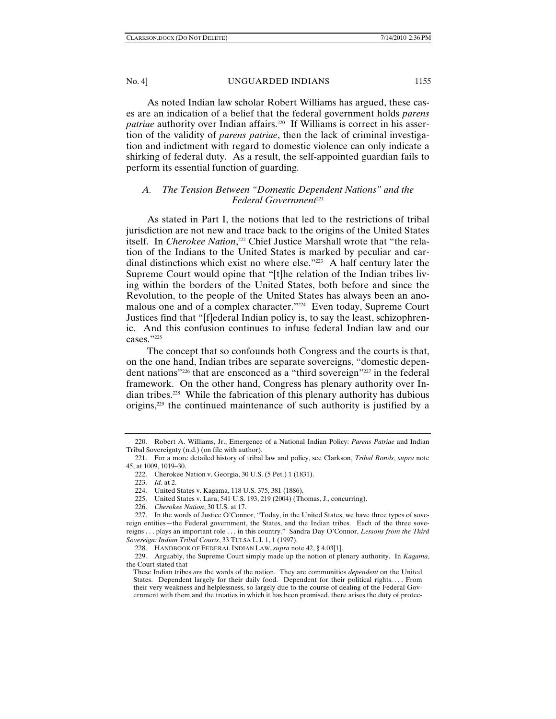As noted Indian law scholar Robert Williams has argued, these cases are an indication of a belief that the federal government holds *parens*  patriae authority over Indian affairs.<sup>220</sup> If Williams is correct in his assertion of the validity of *parens patriae*, then the lack of criminal investigation and indictment with regard to domestic violence can only indicate a shirking of federal duty. As a result, the self-appointed guardian fails to perform its essential function of guarding.

# *A. The Tension Between "Domestic Dependent Nations" and the Federal Government*<sup>221</sup>

As stated in Part I, the notions that led to the restrictions of tribal jurisdiction are not new and trace back to the origins of the United States itself. In *Cherokee Nation*, <sup>222</sup> Chief Justice Marshall wrote that "the relation of the Indians to the United States is marked by peculiar and cardinal distinctions which exist no where else."223 A half century later the Supreme Court would opine that "[t]he relation of the Indian tribes living within the borders of the United States, both before and since the Revolution, to the people of the United States has always been an anomalous one and of a complex character."224 Even today, Supreme Court Justices find that "[f]ederal Indian policy is, to say the least, schizophrenic. And this confusion continues to infuse federal Indian law and our cases."225

The concept that so confounds both Congress and the courts is that, on the one hand, Indian tribes are separate sovereigns, "domestic dependent nations"226 that are ensconced as a "third sovereign"227 in the federal framework. On the other hand, Congress has plenary authority over Indian tribes.228 While the fabrication of this plenary authority has dubious origins,229 the continued maintenance of such authority is justified by a

 <sup>220.</sup> Robert A. Williams, Jr., Emergence of a National Indian Policy: *Parens Patriae* and Indian Tribal Sovereignty (n.d.) (on file with author).

 <sup>221.</sup> For a more detailed history of tribal law and policy, see Clarkson, *Tribal Bonds*, *supra* note 45, at 1009, 1019–30.

 <sup>222.</sup> Cherokee Nation v. Georgia, 30 U.S. (5 Pet.) 1 (1831).

 <sup>223.</sup> *Id.* at 2.

 <sup>224.</sup> United States v. Kagama, 118 U.S. 375, 381 (1886).

 <sup>225.</sup> United States v. Lara, 541 U.S. 193, 219 (2004) (Thomas, J., concurring).

 <sup>226.</sup> *Cherokee Nation*, 30 U.S. at 17.

 <sup>227.</sup> In the words of Justice O'Connor, "Today, in the United States, we have three types of sovereign entities—the Federal government, the States, and the Indian tribes. Each of the three sovereigns . . . plays an important role . . . in this country." Sandra Day O'Connor, *Lessons from the Third Sovereign: Indian Tribal Courts*, 33 TULSA L.J. 1, 1 (1997).

 <sup>228.</sup> HANDBOOK OF FEDERAL INDIAN LAW, *supra* note 42, § 4.03[1].

 <sup>229.</sup> Arguably, the Supreme Court simply made up the notion of plenary authority. In *Kagama*, the Court stated that

These Indian tribes *are* the wards of the nation. They are communities *dependent* on the United States. Dependent largely for their daily food. Dependent for their political rights.... From their very weakness and helplessness, so largely due to the course of dealing of the Federal Government with them and the treaties in which it has been promised, there arises the duty of protec-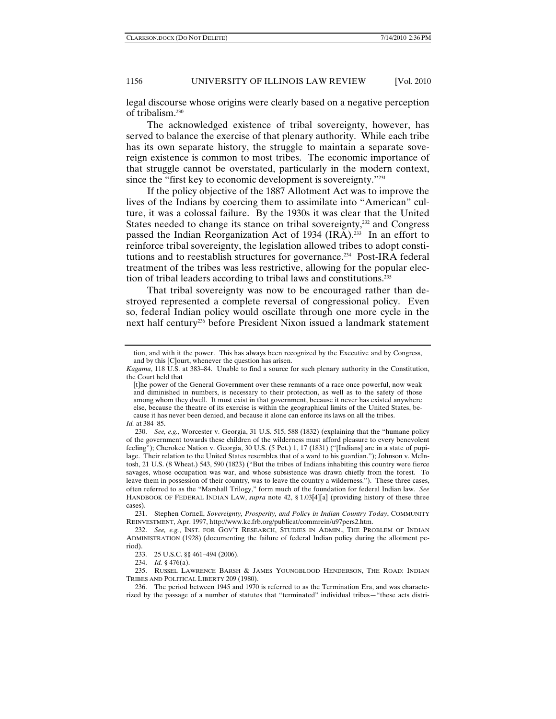legal discourse whose origins were clearly based on a negative perception of tribalism.230

The acknowledged existence of tribal sovereignty, however, has served to balance the exercise of that plenary authority. While each tribe has its own separate history, the struggle to maintain a separate sovereign existence is common to most tribes. The economic importance of that struggle cannot be overstated, particularly in the modern context, since the "first key to economic development is sovereignty."<sup>231</sup>

If the policy objective of the 1887 Allotment Act was to improve the lives of the Indians by coercing them to assimilate into "American" culture, it was a colossal failure. By the 1930s it was clear that the United States needed to change its stance on tribal sovereignty, $^{232}$  and Congress passed the Indian Reorganization Act of 1934 (IRA).<sup>233</sup> In an effort to reinforce tribal sovereignty, the legislation allowed tribes to adopt constitutions and to reestablish structures for governance.<sup>234</sup> Post-IRA federal treatment of the tribes was less restrictive, allowing for the popular election of tribal leaders according to tribal laws and constitutions.<sup>235</sup>

That tribal sovereignty was now to be encouraged rather than destroyed represented a complete reversal of congressional policy. Even so, federal Indian policy would oscillate through one more cycle in the next half century236 before President Nixon issued a landmark statement

tion, and with it the power. This has always been recognized by the Executive and by Congress, and by this [C]ourt, whenever the question has arisen.

*Kagama*, 118 U.S. at 383–84. Unable to find a source for such plenary authority in the Constitution, the Court held that

<sup>[</sup>t]he power of the General Government over these remnants of a race once powerful, now weak and diminished in numbers, is necessary to their protection, as well as to the safety of those among whom they dwell. It must exist in that government, because it never has existed anywhere else, because the theatre of its exercise is within the geographical limits of the United States, because it has never been denied, and because it alone can enforce its laws on all the tribes.

*Id.* at 384–85.

 <sup>230.</sup> *See, e.g.*, Worcester v. Georgia, 31 U.S. 515, 588 (1832) (explaining that the "humane policy of the government towards these children of the wilderness must afford pleasure to every benevolent feeling"); Cherokee Nation v. Georgia, 30 U.S. (5 Pet.) 1, 17 (1831) ("[Indians] are in a state of pupilage. Their relation to the United States resembles that of a ward to his guardian."); Johnson v. McIntosh, 21 U.S. (8 Wheat.) 543, 590 (1823) ("But the tribes of Indians inhabiting this country were fierce savages, whose occupation was war, and whose subsistence was drawn chiefly from the forest. To leave them in possession of their country, was to leave the country a wilderness."). These three cases, often referred to as the "Marshall Trilogy," form much of the foundation for federal Indian law. *See*  HANDBOOK OF FEDERAL INDIAN LAW, *supra* note 42, § 1.03[4][a] (providing history of these three cases).

 <sup>231.</sup> Stephen Cornell, *Sovereignty, Prosperity, and Policy in Indian Country Today*, COMMUNITY REINVESTMENT, Apr. 1997, http://www.kc.frb.org/publicat/commrein/u97pers2.htm.

 <sup>232.</sup> *See, e.g.*, INST. FOR GOV'T RESEARCH, STUDIES IN ADMIN., THE PROBLEM OF INDIAN ADMINISTRATION (1928) (documenting the failure of federal Indian policy during the allotment period).

 <sup>233. 25</sup> U.S.C. §§ 461–494 (2006).

 <sup>234.</sup> *Id.* § 476(a).

 <sup>235.</sup> RUSSEL LAWRENCE BARSH & JAMES YOUNGBLOOD HENDERSON, THE ROAD: INDIAN TRIBES AND POLITICAL LIBERTY 209 (1980).

 <sup>236.</sup> The period between 1945 and 1970 is referred to as the Termination Era, and was characterized by the passage of a number of statutes that "terminated" individual tribes—"these acts distri-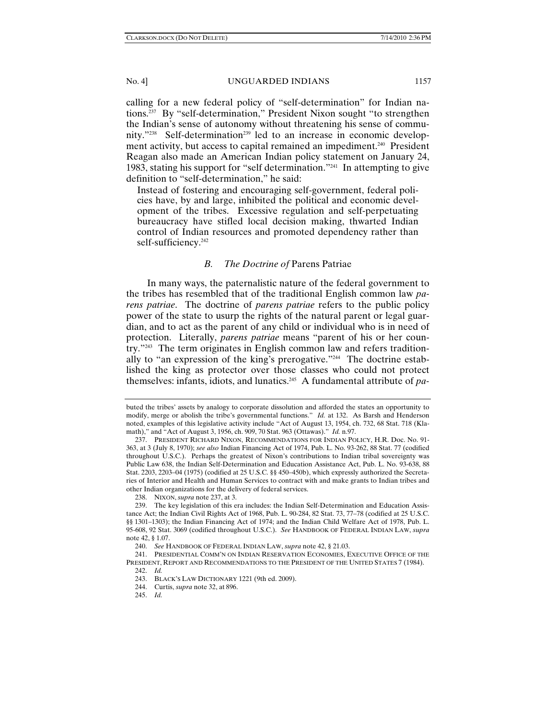calling for a new federal policy of "self-determination" for Indian nations.237 By "self-determination," President Nixon sought "to strengthen the Indian's sense of autonomy without threatening his sense of community."<sup>238</sup> Self-determination<sup>239</sup> led to an increase in economic development activity, but access to capital remained an impediment.<sup>240</sup> President Reagan also made an American Indian policy statement on January 24, 1983, stating his support for "self determination."241 In attempting to give definition to "self-determination," he said:

Instead of fostering and encouraging self-government, federal policies have, by and large, inhibited the political and economic development of the tribes. Excessive regulation and self-perpetuating bureaucracy have stifled local decision making, thwarted Indian control of Indian resources and promoted dependency rather than self-sufficiency.<sup>242</sup>

### *B. The Doctrine of* Parens Patriae

In many ways, the paternalistic nature of the federal government to the tribes has resembled that of the traditional English common law *parens patriae*. The doctrine of *parens patriae* refers to the public policy power of the state to usurp the rights of the natural parent or legal guardian, and to act as the parent of any child or individual who is in need of protection. Literally, *parens patriae* means "parent of his or her country."243 The term originates in English common law and refers traditionally to "an expression of the king's prerogative."244 The doctrine established the king as protector over those classes who could not protect themselves: infants, idiots, and lunatics.245 A fundamental attribute of *pa-*

buted the tribes' assets by analogy to corporate dissolution and afforded the states an opportunity to modify, merge or abolish the tribe's governmental functions." *Id.* at 132. As Barsh and Henderson noted, examples of this legislative activity include "Act of August 13, 1954, ch. 732, 68 Stat. 718 (Klamath)," and "Act of August 3, 1956, ch. 909, 70 Stat. 963 (Ottawas)." *Id.* n.97.

 <sup>237.</sup> PRESIDENT RICHARD NIXON, RECOMMENDATIONS FOR INDIAN POLICY, H.R. Doc. No. 91- 363, at 3 (July 8, 1970); *see also* Indian Financing Act of 1974, Pub. L. No. 93-262, 88 Stat. 77 (codified throughout U.S.C.). Perhaps the greatest of Nixon's contributions to Indian tribal sovereignty was Public Law 638, the Indian Self-Determination and Education Assistance Act, Pub. L. No. 93-638, 88 Stat. 2203, 2203–04 (1975) (codified at 25 U.S.C. §§ 450–450b), which expressly authorized the Secretaries of Interior and Health and Human Services to contract with and make grants to Indian tribes and other Indian organizations for the delivery of federal services.

 <sup>238.</sup> NIXON, *supra* note 237, at 3.

 <sup>239.</sup> The key legislation of this era includes: the Indian Self-Determination and Education Assistance Act; the Indian Civil Rights Act of 1968, Pub. L. 90-284, 82 Stat. 73, 77–78 (codified at 25 U.S.C. §§ 1301–1303); the Indian Financing Act of 1974; and the Indian Child Welfare Act of 1978, Pub. L. 95-608, 92 Stat. 3069 (codified throughout U.S.C.). *See* HANDBOOK OF FEDERAL INDIAN LAW, *supra* note 42, § 1.07.

 <sup>240.</sup> *See* HANDBOOK OF FEDERAL INDIAN LAW, *supra* note 42, § 21.03.

 <sup>241.</sup> PRESIDENTIAL COMM'N ON INDIAN RESERVATION ECONOMIES, EXECUTIVE OFFICE OF THE PRESIDENT, REPORT AND RECOMMENDATIONS TO THE PRESIDENT OF THE UNITED STATES 7 (1984).

 <sup>242.</sup> *Id.* 

 <sup>243.</sup> BLACK'S LAW DICTIONARY 1221 (9th ed. 2009).

 <sup>244.</sup> Curtis, *supra* note 32, at 896.

 <sup>245.</sup> *Id.*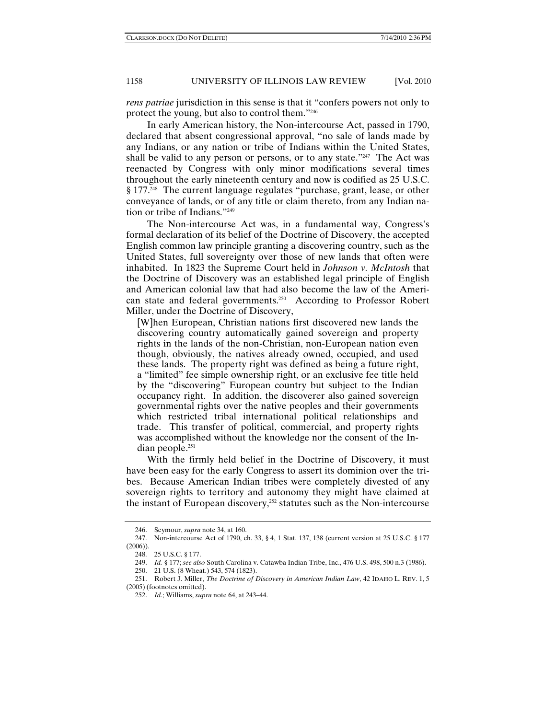*rens patriae* jurisdiction in this sense is that it "confers powers not only to protect the young, but also to control them."246

In early American history, the Non-intercourse Act, passed in 1790, declared that absent congressional approval, "no sale of lands made by any Indians, or any nation or tribe of Indians within the United States, shall be valid to any person or persons, or to any state."<sup>247</sup> The Act was reenacted by Congress with only minor modifications several times throughout the early nineteenth century and now is codified as 25 U.S.C. § 177.248 The current language regulates "purchase, grant, lease, or other conveyance of lands, or of any title or claim thereto, from any Indian nation or tribe of Indians."249

The Non-intercourse Act was, in a fundamental way, Congress's formal declaration of its belief of the Doctrine of Discovery, the accepted English common law principle granting a discovering country, such as the United States, full sovereignty over those of new lands that often were inhabited. In 1823 the Supreme Court held in *Johnson v. McIntosh* that the Doctrine of Discovery was an established legal principle of English and American colonial law that had also become the law of the American state and federal governments.250 According to Professor Robert Miller, under the Doctrine of Discovery,

[W]hen European, Christian nations first discovered new lands the discovering country automatically gained sovereign and property rights in the lands of the non-Christian, non-European nation even though, obviously, the natives already owned, occupied, and used these lands. The property right was defined as being a future right, a "limited" fee simple ownership right, or an exclusive fee title held by the "discovering" European country but subject to the Indian occupancy right. In addition, the discoverer also gained sovereign governmental rights over the native peoples and their governments which restricted tribal international political relationships and trade. This transfer of political, commercial, and property rights was accomplished without the knowledge nor the consent of the Indian people.251

With the firmly held belief in the Doctrine of Discovery, it must have been easy for the early Congress to assert its dominion over the tribes. Because American Indian tribes were completely divested of any sovereign rights to territory and autonomy they might have claimed at the instant of European discovery, $252$  statutes such as the Non-intercourse

 <sup>246.</sup> Seymour, *supra* note 34, at 160.

 <sup>247.</sup> Non-intercourse Act of 1790, ch. 33, § 4, 1 Stat. 137, 138 (current version at 25 U.S.C. § 177 (2006)).

 <sup>248. 25</sup> U.S.C. § 177.

 <sup>249.</sup> *Id.* § 177; *see also* South Carolina v. Catawba Indian Tribe, Inc., 476 U.S. 498, 500 n.3 (1986).

 <sup>250. 21</sup> U.S. (8 Wheat.) 543, 574 (1823).

 <sup>251.</sup> Robert J. Miller, *The Doctrine of Discovery in American Indian Law*, 42 IDAHO L. REV. 1, 5 (2005) (footnotes omitted).

 <sup>252.</sup> *Id.*; Williams, *supra* note 64, at 243–44.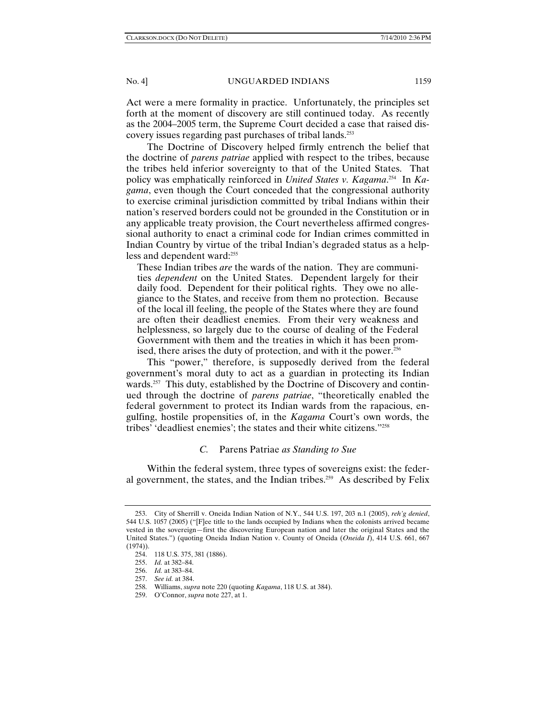Act were a mere formality in practice. Unfortunately, the principles set forth at the moment of discovery are still continued today. As recently as the 2004–2005 term, the Supreme Court decided a case that raised discovery issues regarding past purchases of tribal lands.253

The Doctrine of Discovery helped firmly entrench the belief that the doctrine of *parens patriae* applied with respect to the tribes, because the tribes held inferior sovereignty to that of the United States. That policy was emphatically reinforced in *United States v. Kagama*. 254 In *Kagama*, even though the Court conceded that the congressional authority to exercise criminal jurisdiction committed by tribal Indians within their nation's reserved borders could not be grounded in the Constitution or in any applicable treaty provision, the Court nevertheless affirmed congressional authority to enact a criminal code for Indian crimes committed in Indian Country by virtue of the tribal Indian's degraded status as a helpless and dependent ward:255

These Indian tribes *are* the wards of the nation. They are communities *dependent* on the United States. Dependent largely for their daily food. Dependent for their political rights. They owe no allegiance to the States, and receive from them no protection. Because of the local ill feeling, the people of the States where they are found are often their deadliest enemies. From their very weakness and helplessness, so largely due to the course of dealing of the Federal Government with them and the treaties in which it has been promised, there arises the duty of protection, and with it the power.<sup>256</sup>

This "power," therefore, is supposedly derived from the federal government's moral duty to act as a guardian in protecting its Indian wards.<sup>257</sup> This duty, established by the Doctrine of Discovery and continued through the doctrine of *parens patriae*, "theoretically enabled the federal government to protect its Indian wards from the rapacious, engulfing, hostile propensities of, in the *Kagama* Court's own words, the tribes' 'deadliest enemies'; the states and their white citizens."258

## *C.* Parens Patriae *as Standing to Sue*

Within the federal system, three types of sovereigns exist: the federal government, the states, and the Indian tribes.<sup>259</sup> As described by Felix

 <sup>253.</sup> City of Sherrill v. Oneida Indian Nation of N.Y., 544 U.S. 197, 203 n.1 (2005), *reh'g denied*, 544 U.S. 1057 (2005) ("[F]ee title to the lands occupied by Indians when the colonists arrived became vested in the sovereign—first the discovering European nation and later the original States and the United States.") (quoting Oneida Indian Nation v. County of Oneida (*Oneida I*), 414 U.S. 661, 667 (1974)).

 <sup>254. 118</sup> U.S. 375, 381 (1886).

 <sup>255.</sup> *Id.* at 382–84.

 <sup>256.</sup> *Id.* at 383–84.

 <sup>257.</sup> *See id.* at 384.

 <sup>258.</sup> Williams, *supra* note 220 (quoting *Kagama*, 118 U.S. at 384).

 <sup>259.</sup> O'Connor, *supra* note 227, at 1.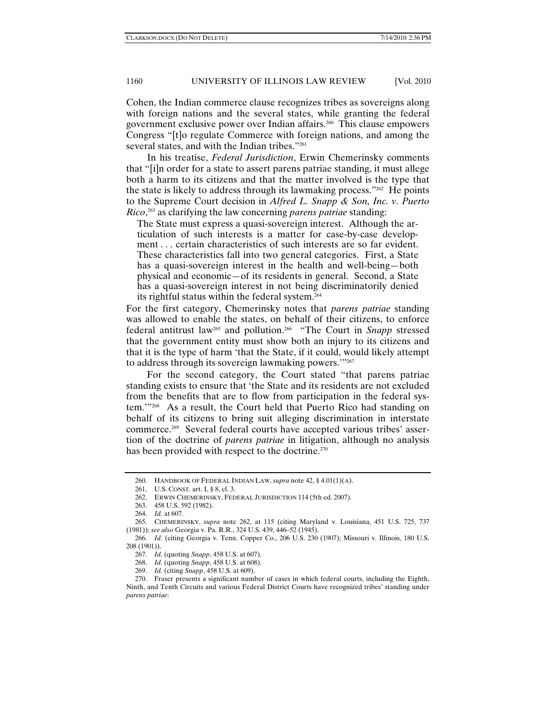Cohen, the Indian commerce clause recognizes tribes as sovereigns along with foreign nations and the several states, while granting the federal government exclusive power over Indian affairs.260 This clause empowers Congress "[t]o regulate Commerce with foreign nations, and among the several states, and with the Indian tribes."261

In his treatise, *Federal Jurisdiction*, Erwin Chemerinsky comments that "[i]n order for a state to assert parens patriae standing, it must allege both a harm to its citizens and that the matter involved is the type that the state is likely to address through its lawmaking process."262 He points to the Supreme Court decision in *Alfred L. Snapp & Son, Inc. v. Puerto Rico*, 263 as clarifying the law concerning *parens patriae* standing:

The State must express a quasi-sovereign interest. Although the articulation of such interests is a matter for case-by-case development . . . certain characteristics of such interests are so far evident. These characteristics fall into two general categories. First, a State has a quasi-sovereign interest in the health and well-being—both physical and economic—of its residents in general. Second, a State has a quasi-sovereign interest in not being discriminatorily denied its rightful status within the federal system.264

For the first category, Chemerinsky notes that *parens patriae* standing was allowed to enable the states, on behalf of their citizens, to enforce federal antitrust law<sup>265</sup> and pollution.<sup>266</sup> "The Court in *Snapp* stressed that the government entity must show both an injury to its citizens and that it is the type of harm 'that the State, if it could, would likely attempt to address through its sovereign lawmaking powers."<sup>267</sup>

For the second category, the Court stated "that parens patriae standing exists to ensure that 'the State and its residents are not excluded from the benefits that are to flow from participation in the federal system.'"268 As a result, the Court held that Puerto Rico had standing on behalf of its citizens to bring suit alleging discrimination in interstate commerce.269 Several federal courts have accepted various tribes' assertion of the doctrine of *parens patriae* in litigation, although no analysis has been provided with respect to the doctrine.<sup>270</sup>

 <sup>260.</sup> HANDBOOK OF FEDERAL INDIAN LAW, *supra* note 42, § 4.01(1)(A).

 <sup>261.</sup> U.S. CONST. art. I, § 8, cl. 3.

 <sup>262.</sup> ERWIN CHEMERINSKY, FEDERAL JURISDICTION 114 (5th ed. 2007).

 <sup>263. 458</sup> U.S. 592 (1982).

 <sup>264.</sup> *Id.* at 607.

 <sup>265.</sup> CHEMERINSKY, *supra* note 262, at 115 (citing Maryland v. Louisiana, 451 U.S. 725, 737 (1981)); *see also* Georgia v. Pa. R.R., 324 U.S. 439, 446–52 (1945).

 <sup>266.</sup> *Id.* (citing Georgia v. Tenn. Copper Co., 206 U.S. 230 (1907); Missouri v. Illinois, 180 U.S. 208 (1901)).

 <sup>267.</sup> *Id.* (quoting *Snapp*, 458 U.S. at 607).

 <sup>268.</sup> *Id.* (quoting *Snapp*, 458 U.S. at 608).

 <sup>269.</sup> *Id.* (citing *Snapp*, 458 U.S. at 609).

 <sup>270.</sup> Fraser presents a significant number of cases in which federal courts, including the Eighth, Ninth, and Tenth Circuits and various Federal District Courts have recognized tribes' standing under *parens patriae*: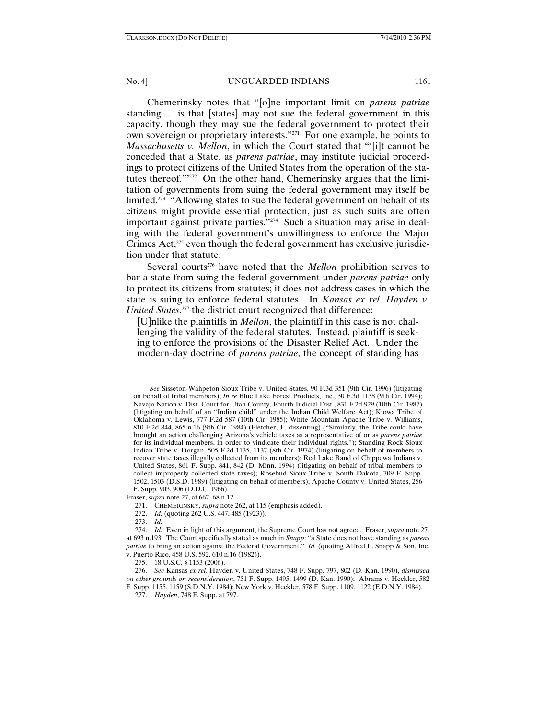Chemerinsky notes that "[o]ne important limit on *parens patriae* standing . . . is that [states] may not sue the federal government in this capacity, though they may sue the federal government to protect their own sovereign or proprietary interests."271 For one example, he points to *Massachusetts v. Mellon*, in which the Court stated that "'[i]t cannot be conceded that a State, as *parens patriae*, may institute judicial proceedings to protect citizens of the United States from the operation of the statutes thereof.'"272 On the other hand, Chemerinsky argues that the limitation of governments from suing the federal government may itself be limited.<sup>273</sup> "Allowing states to sue the federal government on behalf of its citizens might provide essential protection, just as such suits are often important against private parties."274 Such a situation may arise in dealing with the federal government's unwillingness to enforce the Major Crimes Act,<sup>275</sup> even though the federal government has exclusive jurisdiction under that statute.

Several courts<sup>276</sup> have noted that the *Mellon* prohibition serves to bar a state from suing the federal government under *parens patriae* only to protect its citizens from statutes; it does not address cases in which the state is suing to enforce federal statutes. In *Kansas ex rel. Hayden v. United States*, 277 the district court recognized that difference:

[U]nlike the plaintiffs in *Mellon*, the plaintiff in this case is not challenging the validity of the federal statutes. Instead, plaintiff is seeking to enforce the provisions of the Disaster Relief Act. Under the modern-day doctrine of *parens patriae*, the concept of standing has

Fraser, *supra* note 27, at 667–68 n.12.

*See* Sisseton-Wahpeton Sioux Tribe v. United States, 90 F.3d 351 (9th Cir. 1996) (litigating on behalf of tribal members); *In re* Blue Lake Forest Products, Inc., 30 F.3d 1138 (9th Cir. 1994); Navajo Nation v. Dist. Court for Utah County, Fourth Judicial Dist., 831 F.2d 929 (10th Cir. 1987) (litigating on behalf of an "Indian child" under the Indian Child Welfare Act); Kiowa Tribe of Oklahoma v. Lewis, 777 F.2d 587 (10th Cir. 1985); White Mountain Apache Tribe v. Williams, 810 F.2d 844, 865 n.16 (9th Cir. 1984) (Fletcher, J., dissenting) ("Similarly, the Tribe could have brought an action challenging Arizona's vehicle taxes as a representative of or as *parens patriae* for its individual members, in order to vindicate their individual rights."); Standing Rock Sioux Indian Tribe v. Dorgan, 505 F.2d 1135, 1137 (8th Cir. 1974) (litigating on behalf of members to recover state taxes illegally collected from its members); Red Lake Band of Chippewa Indians v. United States, 861 F. Supp. 841, 842 (D. Minn. 1994) (litigating on behalf of tribal members to collect improperly collected state taxes); Rosebud Sioux Tribe v. South Dakota, 709 F. Supp. 1502, 1503 (D.S.D. 1989) (litigating on behalf of members); Apache County v. United States, 256 F. Supp. 903, 906 (D.D.C. 1966).

 <sup>271.</sup> CHEMERINSKY, *supra* note 262, at 115 (emphasis added).

 <sup>272.</sup> *Id.* (quoting 262 U.S. 447, 485 (1923)).

 <sup>273.</sup> *Id.*

 <sup>274.</sup> *Id.* Even in light of this argument, the Supreme Court has not agreed. Fraser, *supra* note 27, at 693 n.193. The Court specifically stated as much in *Snapp*: "a State does not have standing as *parens patriae* to bring an action against the Federal Government." *Id.* (quoting Alfred L. Snapp & Son, Inc. v. Puerto Rico, 458 U.S. 592, 610 n.16 (1982)).

 <sup>275. 18</sup> U.S.C. § 1153 (2006).

 <sup>276.</sup> *See* Kansas *ex rel*. Hayden v. United States, 748 F. Supp. 797, 802 (D. Kan. 1990), *dismissed on other grounds on reconsideration*, 751 F. Supp. 1495, 1499 (D. Kan. 1990); Abrams v. Heckler, 582 F. Supp. 1155, 1159 (S.D.N.Y. 1984); New York v. Heckler, 578 F. Supp. 1109, 1122 (E.D.N.Y. 1984).

 <sup>277.</sup> *Hayden*, 748 F. Supp. at 797.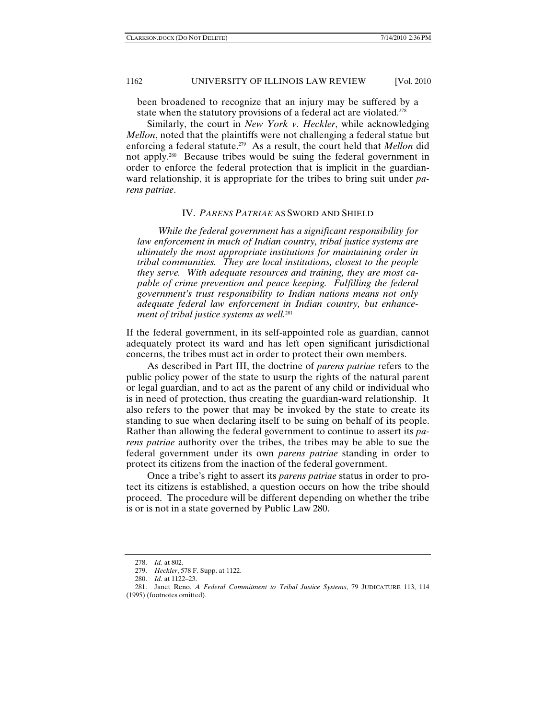been broadened to recognize that an injury may be suffered by a state when the statutory provisions of a federal act are violated.<sup>278</sup>

Similarly, the court in *New York v. Heckler*, while acknowledging *Mellon*, noted that the plaintiffs were not challenging a federal statue but enforcing a federal statute.279 As a result, the court held that *Mellon* did not apply.280 Because tribes would be suing the federal government in order to enforce the federal protection that is implicit in the guardianward relationship, it is appropriate for the tribes to bring suit under *parens patriae*.

#### IV. *PARENS PATRIAE* AS SWORD AND SHIELD

*While the federal government has a significant responsibility for law enforcement in much of Indian country, tribal justice systems are ultimately the most appropriate institutions for maintaining order in tribal communities. They are local institutions, closest to the people they serve. With adequate resources and training, they are most capable of crime prevention and peace keeping. Fulfilling the federal government's trust responsibility to Indian nations means not only adequate federal law enforcement in Indian country, but enhancement of tribal justice systems as well.*<sup>281</sup>

If the federal government, in its self-appointed role as guardian, cannot adequately protect its ward and has left open significant jurisdictional concerns, the tribes must act in order to protect their own members.

As described in Part III, the doctrine of *parens patriae* refers to the public policy power of the state to usurp the rights of the natural parent or legal guardian, and to act as the parent of any child or individual who is in need of protection, thus creating the guardian-ward relationship. It also refers to the power that may be invoked by the state to create its standing to sue when declaring itself to be suing on behalf of its people. Rather than allowing the federal government to continue to assert its *parens patriae* authority over the tribes, the tribes may be able to sue the federal government under its own *parens patriae* standing in order to protect its citizens from the inaction of the federal government.

Once a tribe's right to assert its *parens patriae* status in order to protect its citizens is established, a question occurs on how the tribe should proceed. The procedure will be different depending on whether the tribe is or is not in a state governed by Public Law 280.

 <sup>278.</sup> *Id.* at 802.

 <sup>279.</sup> *Heckler*, 578 F. Supp. at 1122.

 <sup>280.</sup> *Id.* at 1122–23.

 <sup>281.</sup> Janet Reno, *A Federal Commitment to Tribal Justice Systems*, 79 JUDICATURE 113, 114 (1995) (footnotes omitted).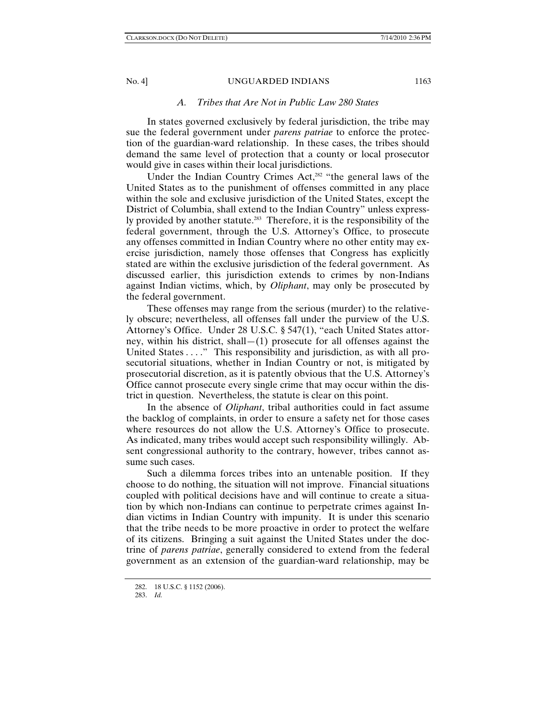### *A. Tribes that Are Not in Public Law 280 States*

In states governed exclusively by federal jurisdiction, the tribe may sue the federal government under *parens patriae* to enforce the protection of the guardian-ward relationship. In these cases, the tribes should demand the same level of protection that a county or local prosecutor would give in cases within their local jurisdictions.

Under the Indian Country Crimes Act,<sup>282</sup> "the general laws of the United States as to the punishment of offenses committed in any place within the sole and exclusive jurisdiction of the United States, except the District of Columbia, shall extend to the Indian Country" unless expressly provided by another statute.<sup>283</sup> Therefore, it is the responsibility of the federal government, through the U.S. Attorney's Office, to prosecute any offenses committed in Indian Country where no other entity may exercise jurisdiction, namely those offenses that Congress has explicitly stated are within the exclusive jurisdiction of the federal government. As discussed earlier, this jurisdiction extends to crimes by non-Indians against Indian victims, which, by *Oliphant*, may only be prosecuted by the federal government.

These offenses may range from the serious (murder) to the relatively obscure; nevertheless, all offenses fall under the purview of the U.S. Attorney's Office. Under 28 U.S.C. § 547(1), "each United States attorney, within his district, shall  $-(1)$  prosecute for all offenses against the United States . . . ." This responsibility and jurisdiction, as with all prosecutorial situations, whether in Indian Country or not, is mitigated by prosecutorial discretion, as it is patently obvious that the U.S. Attorney's Office cannot prosecute every single crime that may occur within the district in question. Nevertheless, the statute is clear on this point.

In the absence of *Oliphant*, tribal authorities could in fact assume the backlog of complaints, in order to ensure a safety net for those cases where resources do not allow the U.S. Attorney's Office to prosecute. As indicated, many tribes would accept such responsibility willingly. Absent congressional authority to the contrary, however, tribes cannot assume such cases.

Such a dilemma forces tribes into an untenable position. If they choose to do nothing, the situation will not improve. Financial situations coupled with political decisions have and will continue to create a situation by which non-Indians can continue to perpetrate crimes against Indian victims in Indian Country with impunity. It is under this scenario that the tribe needs to be more proactive in order to protect the welfare of its citizens. Bringing a suit against the United States under the doctrine of *parens patriae*, generally considered to extend from the federal government as an extension of the guardian-ward relationship, may be

 <sup>282. 18</sup> U.S.C. § 1152 (2006).

 <sup>283.</sup> *Id.*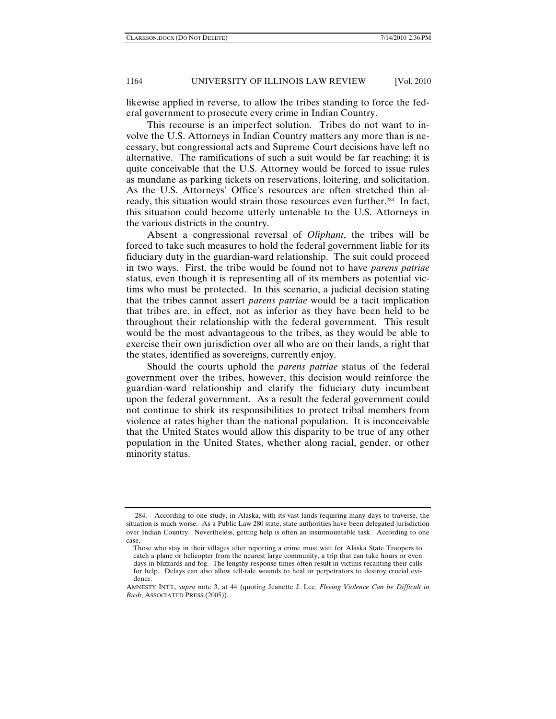likewise applied in reverse, to allow the tribes standing to force the federal government to prosecute every crime in Indian Country.

This recourse is an imperfect solution. Tribes do not want to involve the U.S. Attorneys in Indian Country matters any more than is necessary, but congressional acts and Supreme Court decisions have left no alternative. The ramifications of such a suit would be far reaching; it is quite conceivable that the U.S. Attorney would be forced to issue rules as mundane as parking tickets on reservations, loitering, and solicitation. As the U.S. Attorneys' Office's resources are often stretched thin already, this situation would strain those resources even further.<sup>284</sup> In fact, this situation could become utterly untenable to the U.S. Attorneys in the various districts in the country.

Absent a congressional reversal of *Oliphant*, the tribes will be forced to take such measures to hold the federal government liable for its fiduciary duty in the guardian-ward relationship. The suit could proceed in two ways. First, the tribe would be found not to have *parens patriae*  status, even though it is representing all of its members as potential victims who must be protected. In this scenario, a judicial decision stating that the tribes cannot assert *parens patriae* would be a tacit implication that tribes are, in effect, not as inferior as they have been held to be throughout their relationship with the federal government. This result would be the most advantageous to the tribes, as they would be able to exercise their own jurisdiction over all who are on their lands, a right that the states, identified as sovereigns, currently enjoy.

Should the courts uphold the *parens patriae* status of the federal government over the tribes, however, this decision would reinforce the guardian-ward relationship and clarify the fiduciary duty incumbent upon the federal government. As a result the federal government could not continue to shirk its responsibilities to protect tribal members from violence at rates higher than the national population. It is inconceivable that the United States would allow this disparity to be true of any other population in the United States, whether along racial, gender, or other minority status.

 <sup>284.</sup> According to one study, in Alaska, with its vast lands requiring many days to traverse, the situation is much worse. As a Public Law 280 state, state authorities have been delegated jurisdiction over Indian Country. Nevertheless, getting help is often an insurmountable task. According to one case,

Those who stay in their villages after reporting a crime must wait for Alaska State Troopers to catch a plane or helicopter from the nearest large community, a trip that can take hours or even days in blizzards and fog. The lengthy response times often result in victims recanting their calls for help. Delays can also allow tell-tale wounds to heal or perpetrators to destroy crucial evidence.

AMNESTY INT'L, *supra* note 3, at 44 (quoting Jeanette J. Lee, *Fleeing Violence Can be Difficult in Bush*, ASSOCIATED PRESS (2005)).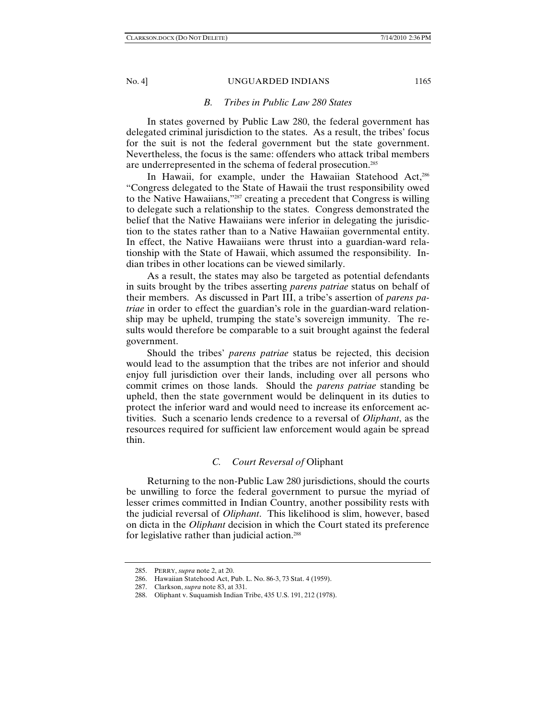#### *B. Tribes in Public Law 280 States*

In states governed by Public Law 280, the federal government has delegated criminal jurisdiction to the states. As a result, the tribes' focus for the suit is not the federal government but the state government. Nevertheless, the focus is the same: offenders who attack tribal members are underrepresented in the schema of federal prosecution.285

In Hawaii, for example, under the Hawaiian Statehood Act,<sup>286</sup> "Congress delegated to the State of Hawaii the trust responsibility owed to the Native Hawaiians,"287 creating a precedent that Congress is willing to delegate such a relationship to the states. Congress demonstrated the belief that the Native Hawaiians were inferior in delegating the jurisdiction to the states rather than to a Native Hawaiian governmental entity. In effect, the Native Hawaiians were thrust into a guardian-ward relationship with the State of Hawaii, which assumed the responsibility. Indian tribes in other locations can be viewed similarly.

As a result, the states may also be targeted as potential defendants in suits brought by the tribes asserting *parens patriae* status on behalf of their members. As discussed in Part III, a tribe's assertion of *parens patriae* in order to effect the guardian's role in the guardian-ward relationship may be upheld, trumping the state's sovereign immunity. The results would therefore be comparable to a suit brought against the federal government.

Should the tribes' *parens patriae* status be rejected, this decision would lead to the assumption that the tribes are not inferior and should enjoy full jurisdiction over their lands, including over all persons who commit crimes on those lands. Should the *parens patriae* standing be upheld, then the state government would be delinquent in its duties to protect the inferior ward and would need to increase its enforcement activities. Such a scenario lends credence to a reversal of *Oliphant*, as the resources required for sufficient law enforcement would again be spread thin.

#### *C. Court Reversal of* Oliphant

Returning to the non-Public Law 280 jurisdictions, should the courts be unwilling to force the federal government to pursue the myriad of lesser crimes committed in Indian Country, another possibility rests with the judicial reversal of *Oliphant*. This likelihood is slim, however, based on dicta in the *Oliphant* decision in which the Court stated its preference for legislative rather than judicial action.<sup>288</sup>

 <sup>285.</sup> PERRY, *supra* note 2, at 20.

 <sup>286.</sup> Hawaiian Statehood Act, Pub. L. No. 86-3, 73 Stat. 4 (1959).

 <sup>287.</sup> Clarkson, *supra* note 83, at 331.

 <sup>288.</sup> Oliphant v. Suquamish Indian Tribe, 435 U.S. 191, 212 (1978).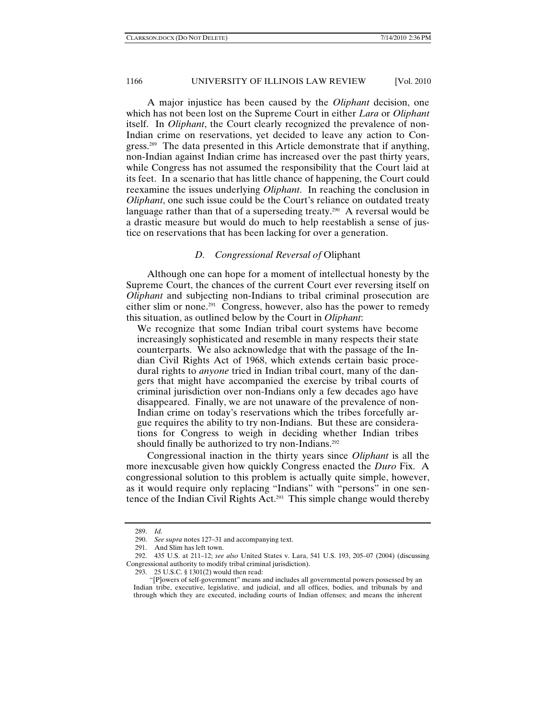A major injustice has been caused by the *Oliphant* decision, one which has not been lost on the Supreme Court in either *Lara* or *Oliphant* itself. In *Oliphant*, the Court clearly recognized the prevalence of non-Indian crime on reservations, yet decided to leave any action to Congress.289 The data presented in this Article demonstrate that if anything, non-Indian against Indian crime has increased over the past thirty years, while Congress has not assumed the responsibility that the Court laid at its feet. In a scenario that has little chance of happening, the Court could reexamine the issues underlying *Oliphant*. In reaching the conclusion in *Oliphant*, one such issue could be the Court's reliance on outdated treaty language rather than that of a superseding treaty.<sup>290</sup> A reversal would be a drastic measure but would do much to help reestablish a sense of justice on reservations that has been lacking for over a generation.

## *D. Congressional Reversal of* Oliphant

Although one can hope for a moment of intellectual honesty by the Supreme Court, the chances of the current Court ever reversing itself on *Oliphant* and subjecting non-Indians to tribal criminal prosecution are either slim or none.<sup>291</sup> Congress, however, also has the power to remedy this situation, as outlined below by the Court in *Oliphant*:

We recognize that some Indian tribal court systems have become increasingly sophisticated and resemble in many respects their state counterparts. We also acknowledge that with the passage of the Indian Civil Rights Act of 1968, which extends certain basic procedural rights to *anyone* tried in Indian tribal court, many of the dangers that might have accompanied the exercise by tribal courts of criminal jurisdiction over non-Indians only a few decades ago have disappeared. Finally, we are not unaware of the prevalence of non-Indian crime on today's reservations which the tribes forcefully argue requires the ability to try non-Indians. But these are considerations for Congress to weigh in deciding whether Indian tribes should finally be authorized to try non-Indians.<sup>292</sup>

Congressional inaction in the thirty years since *Oliphant* is all the more inexcusable given how quickly Congress enacted the *Duro* Fix. A congressional solution to this problem is actually quite simple, however, as it would require only replacing "Indians" with "persons" in one sentence of the Indian Civil Rights Act.293 This simple change would thereby

 <sup>289.</sup> *Id.*

 <sup>290.</sup> *See supra* notes 127–31 and accompanying text.

 <sup>291.</sup> And Slim has left town.

 <sup>292. 435</sup> U.S. at 211–12; *see also* United States v. Lara, 541 U.S. 193, 205–07 (2004) (discussing Congressional authority to modify tribal criminal jurisdiction).

 <sup>293. 25</sup> U.S.C. § 1301(2) would then read:

<sup>&</sup>quot;[P]owers of self-government" means and includes all governmental powers possessed by an Indian tribe, executive, legislative, and judicial, and all offices, bodies, and tribunals by and through which they are executed, including courts of Indian offenses; and means the inherent